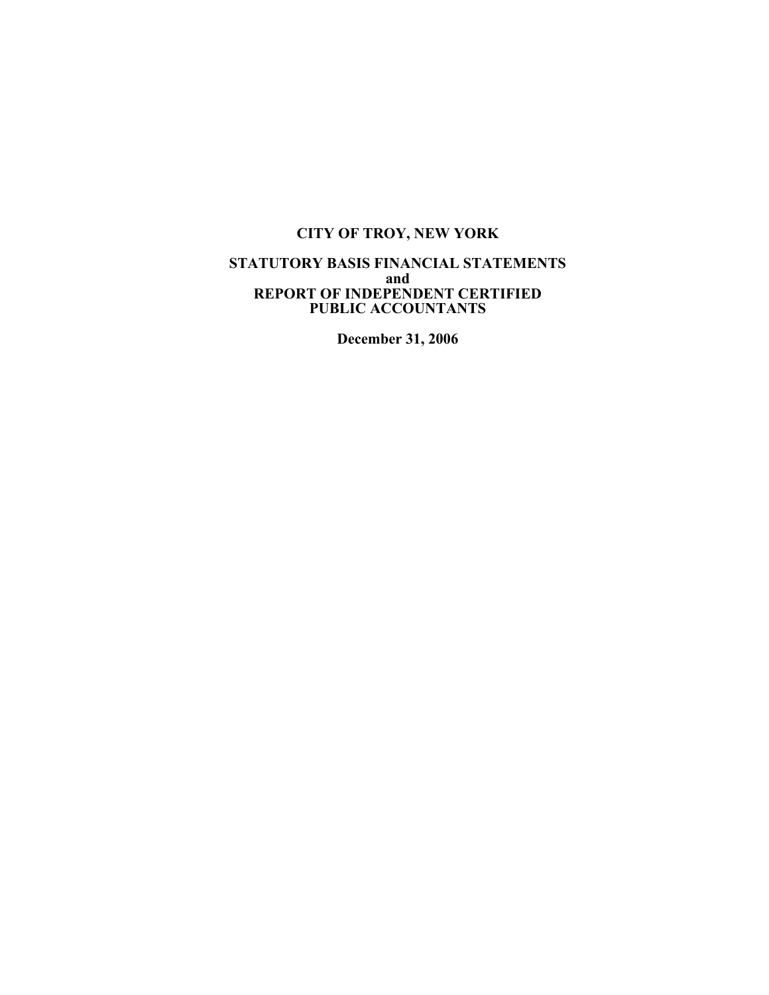## **STATUTORY BASIS FINANCIAL STATEMENTS and REPORT OF INDEPENDENT CERTIFIED PUBLIC ACCOUNTANTS**

**December 31, 2006**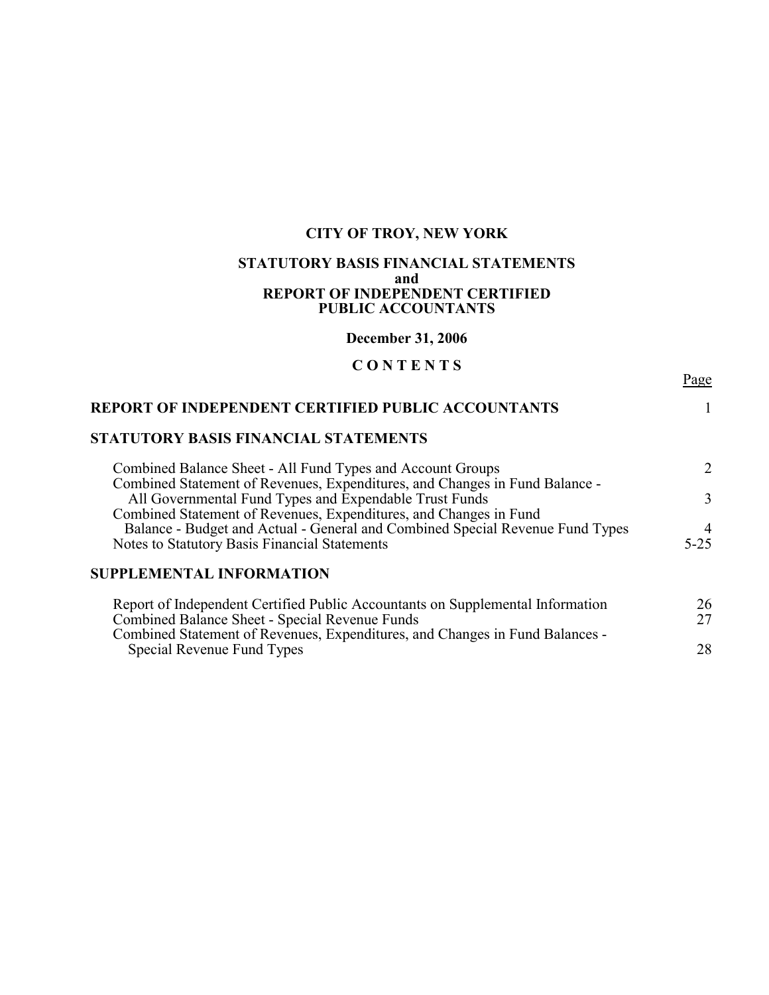## **STATUTORY BASIS FINANCIAL STATEMENTS and REPORT OF INDEPENDENT CERTIFIED PUBLIC ACCOUNTANTS**

**December 31, 2006**

# **C O N T E N T S**

Page

| <b>REPORT OF INDEPENDENT CERTIFIED PUBLIC ACCOUNTANTS</b>                                                                                          |          |  |  |  |  |
|----------------------------------------------------------------------------------------------------------------------------------------------------|----------|--|--|--|--|
| STATUTORY BASIS FINANCIAL STATEMENTS                                                                                                               |          |  |  |  |  |
| Combined Balance Sheet - All Fund Types and Account Groups<br>Combined Statement of Revenues, Expenditures, and Changes in Fund Balance -          | 2        |  |  |  |  |
| All Governmental Fund Types and Expendable Trust Funds                                                                                             | 3        |  |  |  |  |
| Combined Statement of Revenues, Expenditures, and Changes in Fund<br>Balance - Budget and Actual - General and Combined Special Revenue Fund Types | 4        |  |  |  |  |
| Notes to Statutory Basis Financial Statements                                                                                                      | $5 - 25$ |  |  |  |  |
| <b>SUPPLEMENTAL INFORMATION</b>                                                                                                                    |          |  |  |  |  |
| Report of Independent Certified Public Accountants on Supplemental Information                                                                     | 26       |  |  |  |  |
| Combined Balance Sheet - Special Revenue Funds                                                                                                     | 27       |  |  |  |  |
| Combined Statement of Revenues, Expenditures, and Changes in Fund Balances -                                                                       |          |  |  |  |  |

Special Revenue Fund Types 28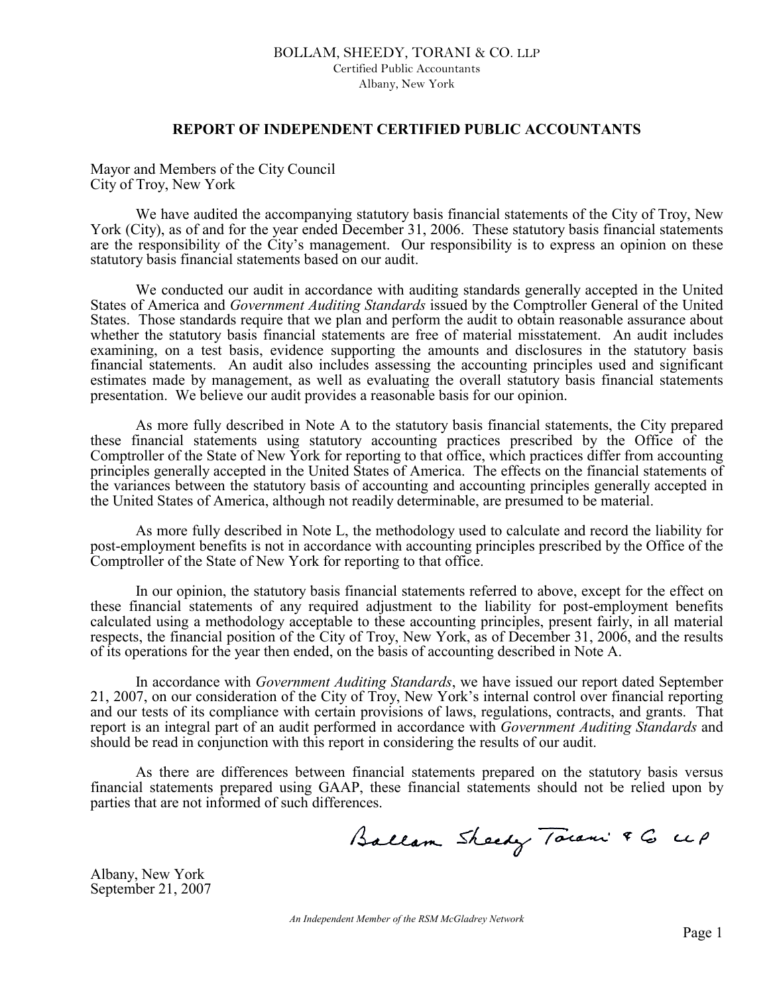## BOLLAM, SHEEDY, TORANI & CO. LLP Certified Public Accountants Albany, New York

### **REPORT OF INDEPENDENT CERTIFIED PUBLIC ACCOUNTANTS**

Mayor and Members of the City Council City of Troy, New York

We have audited the accompanying statutory basis financial statements of the City of Troy, New York (City), as of and for the year ended December 31, 2006. These statutory basis financial statements are the responsibility of the City's management. Our responsibility is to express an opinion on these statutory basis financial statements based on our audit.

We conducted our audit in accordance with auditing standards generally accepted in the United States of America and *Government Auditing Standards* issued by the Comptroller General of the United States. Those standards require that we plan and perform the audit to obtain reasonable assurance about whether the statutory basis financial statements are free of material misstatement. An audit includes examining, on a test basis, evidence supporting the amounts and disclosures in the statutory basis financial statements. An audit also includes assessing the accounting principles used and significant estimates made by management, as well as evaluating the overall statutory basis financial statements presentation. We believe our audit provides a reasonable basis for our opinion.

As more fully described in Note A to the statutory basis financial statements, the City prepared these financial statements using statutory accounting practices prescribed by the Office of the Comptroller of the State of New York for reporting to that office, which practices differ from accounting principles generally accepted in the United States of America. The effects on the financial statements of the variances between the statutory basis of accounting and accounting principles generally accepted in the United States of America, although not readily determinable, are presumed to be material.

As more fully described in Note L, the methodology used to calculate and record the liability for post-employment benefits is not in accordance with accounting principles prescribed by the Office of the Comptroller of the State of New York for reporting to that office.

In our opinion, the statutory basis financial statements referred to above, except for the effect on these financial statements of any required adjustment to the liability for post-employment benefits calculated using a methodology acceptable to these accounting principles, present fairly, in all material respects, the financial position of the City of Troy, New York, as of December 31, 2006, and the results of its operations for the year then ended, on the basis of accounting described in Note A.

In accordance with *Government Auditing Standards*, we have issued our report dated September 21, 2007, on our consideration of the City of Troy, New York's internal control over financial reporting and our tests of its compliance with certain provisions of laws, regulations, contracts, and grants. That report is an integral part of an audit performed in accordance with *Government Auditing Standards* and should be read in conjunction with this report in considering the results of our audit.

As there are differences between financial statements prepared on the statutory basis versus financial statements prepared using GAAP, these financial statements should not be relied upon by parties that are not informed of such differences.

Ballam Sheedy Town & G up

Albany, New York September 21, 2007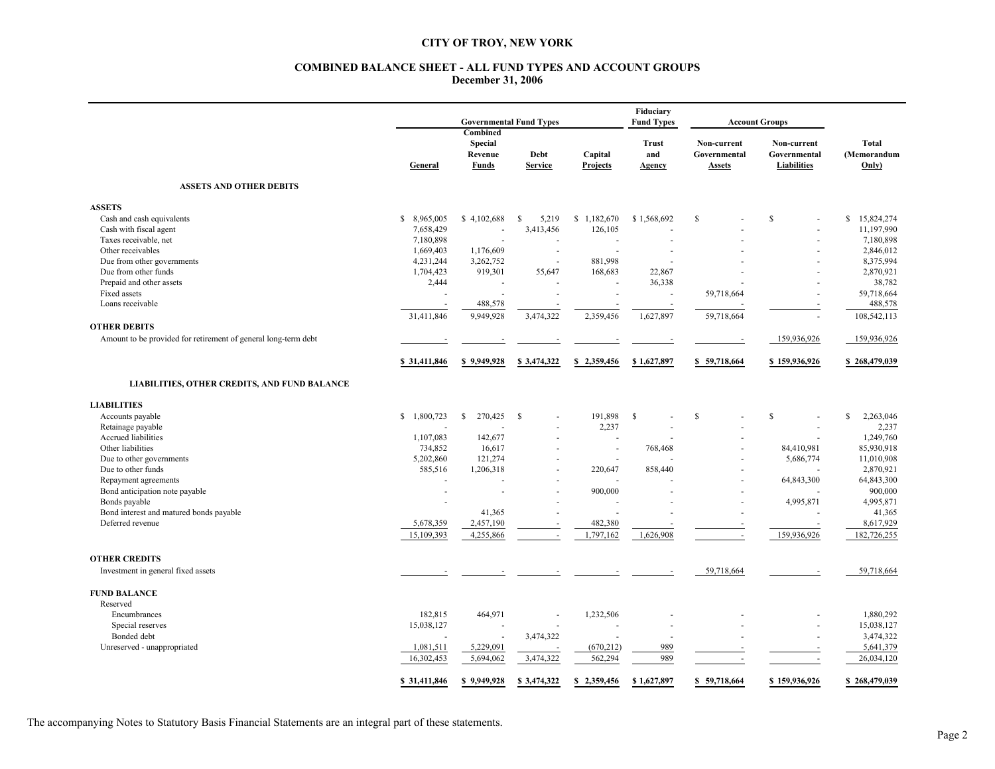#### **COMBINED BALANCE SHEET - ALL FUND TYPES AND ACCOUNT GROUPS December 31, 2006**

|                                                                | <b>Governmental Fund Types</b> |                                                |                          |                            | Fiduciary<br><b>Fund Types</b><br><b>Account Groups</b> |                                              |                                                   |                               |
|----------------------------------------------------------------|--------------------------------|------------------------------------------------|--------------------------|----------------------------|---------------------------------------------------------|----------------------------------------------|---------------------------------------------------|-------------------------------|
|                                                                | General                        | Combined<br><b>Special</b><br>Revenue<br>Funds | Debt<br><b>Service</b>   | Capital<br><b>Projects</b> | <b>Trust</b><br>and<br><b>Agency</b>                    | Non-current<br>Governmental<br><b>Assets</b> | Non-current<br>Governmental<br><b>Liabilities</b> | Total<br>(Memorandum<br>Only) |
| <b>ASSETS AND OTHER DEBITS</b>                                 |                                |                                                |                          |                            |                                                         |                                              |                                                   |                               |
| <b>ASSETS</b>                                                  |                                |                                                |                          |                            |                                                         |                                              |                                                   |                               |
| Cash and cash equivalents                                      | \$8,965,005                    | \$4,102,688                                    | <sup>\$</sup><br>5,219   | \$1,182,670                | \$1,568,692                                             | $\mathbb{S}$                                 | $\mathbf S$                                       | \$<br>15,824,274              |
| Cash with fiscal agent                                         | 7,658,429                      |                                                | 3,413,456                | 126,105                    |                                                         |                                              |                                                   | 11,197,990                    |
| Taxes receivable, net                                          | 7,180,898                      |                                                |                          | ÷                          |                                                         |                                              |                                                   | 7,180,898                     |
| Other receivables                                              | 1,669,403                      | 1,176,609                                      | ÷.                       |                            |                                                         |                                              |                                                   | 2,846,012                     |
| Due from other governments                                     | 4,231,244                      | 3,262,752                                      | $\overline{a}$           | 881,998                    |                                                         |                                              |                                                   | 8,375,994                     |
| Due from other funds                                           | 1,704,423                      | 919,301                                        | 55,647                   | 168,683                    | 22,867                                                  |                                              |                                                   | 2,870,921                     |
| Prepaid and other assets                                       | 2,444                          | ä,                                             |                          | ÷.                         | 36,338                                                  |                                              |                                                   | 38,782                        |
| Fixed assets                                                   |                                |                                                |                          | $\sim$                     | ÷,                                                      | 59,718,664                                   |                                                   | 59,718,664                    |
| Loans receivable                                               |                                | 488,578                                        |                          |                            |                                                         |                                              |                                                   | 488,578                       |
|                                                                | 31,411,846                     | 9,949,928                                      | 3,474,322                | 2,359,456                  | 1,627,897                                               | 59,718,664                                   |                                                   | 108,542,113                   |
| <b>OTHER DEBITS</b>                                            |                                |                                                |                          |                            |                                                         |                                              |                                                   |                               |
| Amount to be provided for retirement of general long-term debt |                                |                                                |                          |                            |                                                         |                                              | 159,936,926                                       | 159,936,926                   |
|                                                                | \$31,411,846                   | \$9,949,928                                    | \$3,474,322              | \$2,359,456                | \$1,627,897                                             | \$59,718,664                                 | \$159,936,926                                     | \$268,479,039                 |
| LIABILITIES, OTHER CREDITS, AND FUND BALANCE                   |                                |                                                |                          |                            |                                                         |                                              |                                                   |                               |
| <b>LIABILITIES</b>                                             |                                |                                                |                          |                            |                                                         |                                              |                                                   |                               |
| Accounts payable                                               | \$1,800,723                    | 270,425<br>S                                   | - \$                     | 191,898                    | <sup>S</sup>                                            | $\mathbf S$                                  | S                                                 | 2,263,046<br><sup>\$</sup>    |
| Retainage payable                                              |                                |                                                |                          | 2,237                      |                                                         |                                              |                                                   | 2,237                         |
| Accrued liabilities                                            | 1,107,083                      | 142,677                                        |                          |                            |                                                         |                                              |                                                   | 1,249,760                     |
| Other liabilities                                              | 734,852                        | 16,617                                         |                          | ×.                         | 768,468                                                 |                                              | 84,410,981                                        | 85,930,918                    |
| Due to other governments                                       | 5,202,860                      | 121,274                                        | $\overline{\phantom{a}}$ | ÷.                         |                                                         |                                              | 5,686,774                                         | 11,010,908                    |
| Due to other funds                                             | 585,516                        | 1,206,318                                      |                          | 220,647                    | 858,440                                                 |                                              |                                                   | 2,870,921                     |
| Repayment agreements                                           |                                | ÷.                                             |                          |                            |                                                         |                                              | 64,843,300                                        | 64,843,300                    |
| Bond anticipation note payable                                 |                                | ÷,                                             |                          | 900,000                    |                                                         |                                              |                                                   | 900,000                       |
| Bonds payable                                                  |                                |                                                |                          |                            |                                                         |                                              | 4,995,871                                         | 4,995,871                     |
| Bond interest and matured bonds payable                        |                                | 41,365                                         |                          | ÷                          |                                                         |                                              |                                                   | 41,365                        |
| Deferred revenue                                               | 5,678,359                      | 2,457,190                                      |                          | 482,380                    |                                                         |                                              |                                                   | 8,617,929                     |
|                                                                | 15,109,393                     | 4,255,866                                      | $\overline{\phantom{a}}$ | 1,797,162                  | 1,626,908                                               | $\sim$                                       | 159,936,926                                       | 182,726,255                   |
| <b>OTHER CREDITS</b>                                           |                                |                                                |                          |                            |                                                         |                                              |                                                   |                               |
| Investment in general fixed assets                             |                                |                                                |                          |                            |                                                         | 59,718,664                                   | $\overline{\phantom{a}}$                          | 59,718,664                    |
| <b>FUND BALANCE</b>                                            |                                |                                                |                          |                            |                                                         |                                              |                                                   |                               |
| Reserved                                                       |                                |                                                |                          |                            |                                                         |                                              |                                                   |                               |
| Encumbrances                                                   | 182,815                        | 464,971                                        |                          | 1,232,506                  |                                                         |                                              |                                                   | 1,880,292                     |
| Special reserves                                               | 15,038,127                     |                                                |                          |                            |                                                         |                                              |                                                   | 15,038,127                    |
| Bonded debt                                                    |                                | ÷.                                             | 3,474,322                |                            |                                                         |                                              | ÷                                                 | 3,474,322                     |
| Unreserved - unappropriated                                    | 1,081,511                      | 5,229,091                                      |                          | (670, 212)                 | 989                                                     |                                              |                                                   | 5,641,379                     |
|                                                                | 16,302,453                     | 5,694,062                                      | 3,474,322                | 562,294                    | 989                                                     |                                              | ÷.                                                | 26,034,120                    |
|                                                                | \$31,411,846                   | \$9,949,928                                    | \$3,474,322              | \$2,359,456                | \$1,627,897                                             | \$59,718,664                                 | \$159,936,926                                     | \$268,479,039                 |

The accompanying Notes to Statutory Basis Financial Statements are an integral part of these statements.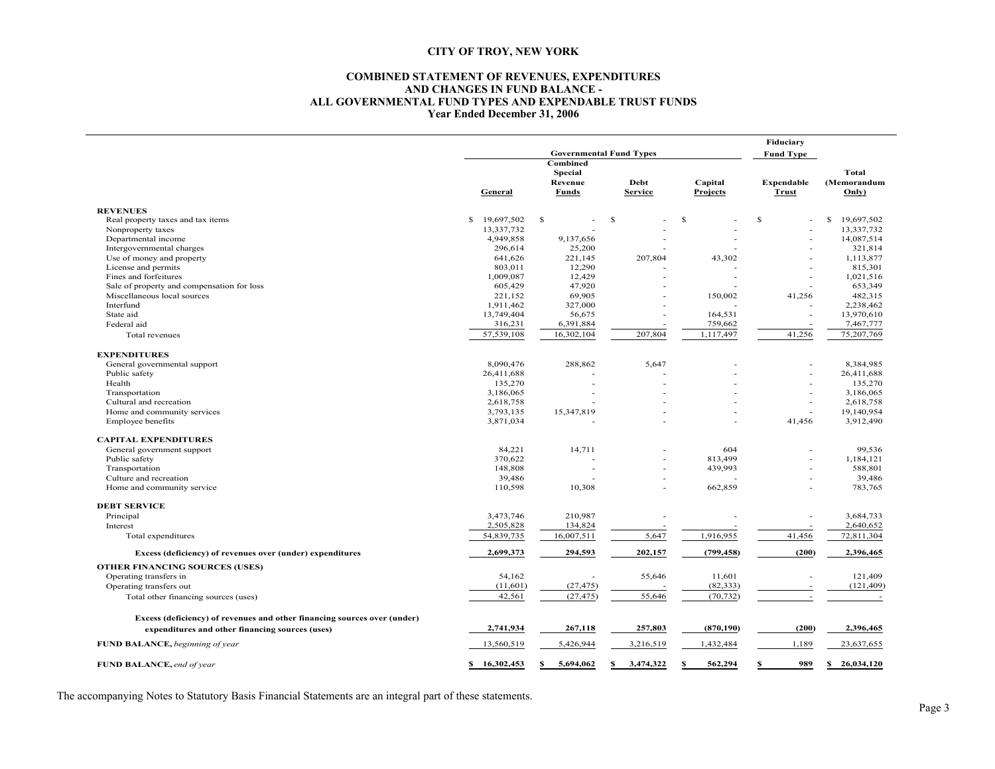#### **COMBINED STATEMENT OF REVENUES, EXPENDITURES AND CHANGES IN FUND BALANCE - ALL GOVERNMENTAL FUND TYPES AND EXPENDABLE TRUST FUNDS Year Ended December 31, 2006**

|                                                                          |                                                              | Fiduciary<br><b>Fund Type</b> |                        |                     |                            |                      |  |
|--------------------------------------------------------------------------|--------------------------------------------------------------|-------------------------------|------------------------|---------------------|----------------------------|----------------------|--|
|                                                                          | <b>Governmental Fund Types</b><br>Combined<br><b>Special</b> |                               |                        |                     |                            | Total                |  |
|                                                                          | General                                                      | Revenue<br>Funds              | Debt<br><b>Service</b> | Capital<br>Projects | Expendable<br><b>Trust</b> | (Memorandum<br>Only) |  |
| <b>REVENUES</b>                                                          |                                                              |                               |                        |                     |                            |                      |  |
| Real property taxes and tax items                                        | \$<br>19,697,502                                             | $\mathbf{s}$                  | S.                     | S.                  | S                          | 19,697,502<br>S.     |  |
| Nonproperty taxes                                                        | 13,337,732                                                   |                               |                        |                     |                            | 13,337,732           |  |
| Departmental income                                                      | 4,949,858                                                    | 9,137,656                     |                        |                     |                            | 14,087,514           |  |
| Intergovernmental charges                                                | 296,614                                                      | 25,200                        |                        |                     |                            | 321,814              |  |
| Use of money and property                                                | 641,626                                                      | 221,145                       | 207,804                | 43,302              |                            | 1,113,877            |  |
| License and permits                                                      | 803,011                                                      | 12,290                        |                        |                     |                            | 815,301              |  |
| Fines and forfeitures                                                    | 1,009,087                                                    | 12,429                        |                        |                     | $\overline{a}$             | 1,021,516            |  |
| Sale of property and compensation for loss                               | 605,429                                                      | 47,920                        |                        |                     |                            | 653,349              |  |
| Miscellaneous local sources                                              | 221,152                                                      | 69,905                        |                        | 150,002             | 41,256                     | 482,315              |  |
| Interfund                                                                | 1,911,462                                                    | 327,000                       |                        |                     |                            | 2,238,462            |  |
| State aid                                                                | 13,749,404                                                   | 56,675                        |                        | 164,531             |                            | 13,970,610           |  |
| Federal aid                                                              | 316,231                                                      | 6,391,884                     |                        | 759,662             |                            | 7,467,777            |  |
| Total revenues                                                           | 57,539,108                                                   | 16,302,104                    | 207,804                | 1,117,497           | 41,256                     | 75,207,769           |  |
| <b>EXPENDITURES</b>                                                      |                                                              |                               |                        |                     |                            |                      |  |
| General governmental support                                             | 8,090,476                                                    | 288,862                       | 5,647                  |                     | $\overline{a}$             | 8,384,985            |  |
| Public safety                                                            | 26,411,688                                                   |                               |                        |                     |                            | 26,411,688           |  |
| Health                                                                   | 135,270                                                      |                               |                        |                     |                            | 135,270              |  |
| Transportation                                                           | 3,186,065                                                    |                               |                        |                     | $\overline{a}$             | 3,186,065            |  |
| Cultural and recreation                                                  | 2,618,758                                                    |                               |                        |                     | $\overline{\phantom{a}}$   | 2,618,758            |  |
| Home and community services                                              | 3,793,135                                                    | 15,347,819                    |                        |                     | $\overline{a}$             | 19,140,954           |  |
| Employee benefits                                                        | 3,871,034                                                    |                               |                        |                     | 41,456                     | 3,912,490            |  |
| <b>CAPITAL EXPENDITURES</b>                                              |                                                              |                               |                        |                     |                            |                      |  |
| General government support                                               | 84,221                                                       | 14,711                        |                        | 604                 |                            | 99,536               |  |
| Public safety                                                            | 370,622                                                      |                               |                        | 813,499             |                            | 1,184,121            |  |
| Transportation                                                           | 148,808                                                      |                               |                        | 439,993             |                            | 588,801              |  |
| Culture and recreation                                                   | 39,486                                                       |                               |                        |                     |                            | 39,486               |  |
| Home and community service                                               | 110,598                                                      | 10,308                        |                        | 662,859             |                            | 783,765              |  |
| <b>DEBT SERVICE</b>                                                      |                                                              |                               |                        |                     |                            |                      |  |
| Principal                                                                | 3,473,746                                                    | 210,987                       |                        |                     |                            | 3,684,733            |  |
| Interest                                                                 | 2,505,828                                                    | 134,824                       |                        |                     |                            | 2,640,652            |  |
| Total expenditures                                                       | 54,839,735                                                   | 16,007,511                    | 5,647                  | 1,916,955           | 41,456                     | 72,811,304           |  |
| Excess (deficiency) of revenues over (under) expenditures                | 2,699,373                                                    | 294,593                       | 202,157                | (799, 458)          | (200)                      | 2,396,465            |  |
| <b>OTHER FINANCING SOURCES (USES)</b>                                    |                                                              |                               |                        |                     |                            |                      |  |
| Operating transfers in                                                   | 54,162                                                       |                               | 55,646                 | 11,601              | ÷                          | 121,409              |  |
| Operating transfers out                                                  | (11,601)                                                     | (27, 475)                     |                        | (82, 333)           | $\overline{\phantom{a}}$   | (121, 409)           |  |
| Total other financing sources (uses)                                     | 42,561                                                       | (27, 475)                     | 55,646                 | (70, 732)           |                            |                      |  |
| Excess (deficiency) of revenues and other financing sources over (under) |                                                              |                               |                        |                     |                            |                      |  |
| expenditures and other financing sources (uses)                          | 2,741,934                                                    | 267,118                       | 257,803                | (870, 190)          | (200)                      | 2,396,465            |  |
| FUND BALANCE, beginning of year                                          | 13,560,519                                                   | 5,426,944                     | 3,216,519              | 1,432,484           | 1,189                      | 23,637,655           |  |
| FUND BALANCE, end of year                                                | \$16,302,453                                                 | 5,694,062<br>S                | 3,474,322<br>S         | S<br>562,294        | \$<br>989                  | \$26,034,120         |  |
|                                                                          |                                                              |                               |                        |                     |                            |                      |  |

The accompanying Notes to Statutory Basis Financial Statements are an integral part of these statements.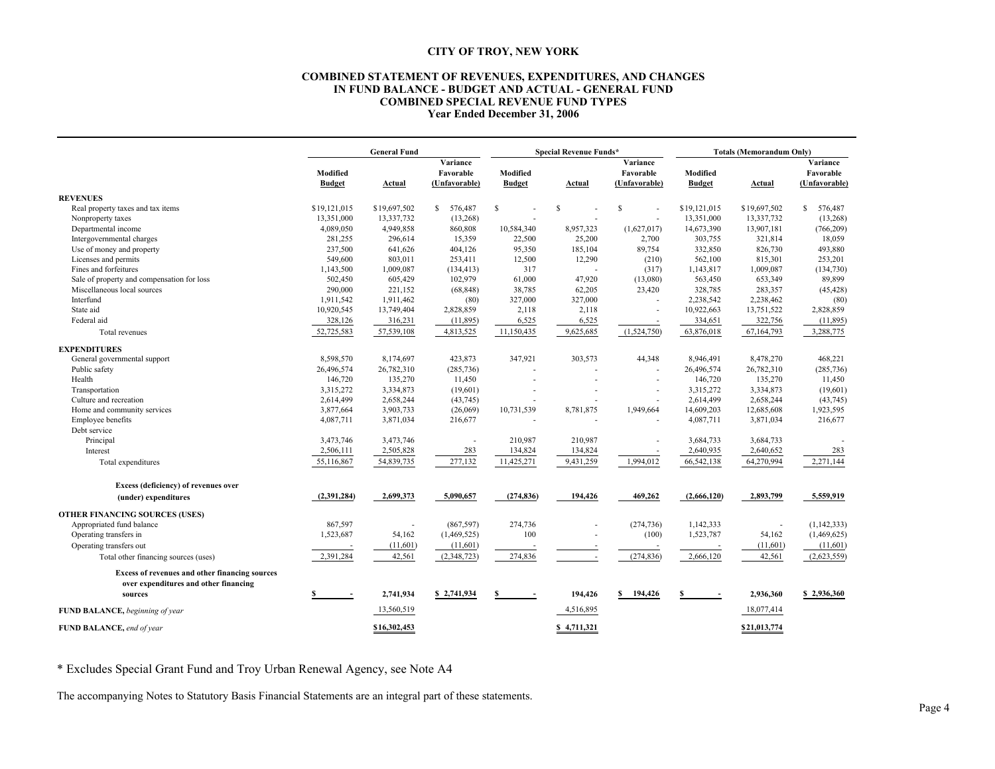#### **COMBINED STATEMENT OF REVENUES, EXPENDITURES, AND CHANGES IN FUND BALANCE - BUDGET AND ACTUAL - GENERAL FUND COMBINED SPECIAL REVENUE FUND TYPES Year Ended December 31, 2006**

|                                                                                                           |                          | <b>General Fund</b>                    |                           |             | <b>Special Revenue Funds*</b>          |                           |               | <b>Totals (Memorandum Only)</b>        |  |  |
|-----------------------------------------------------------------------------------------------------------|--------------------------|----------------------------------------|---------------------------|-------------|----------------------------------------|---------------------------|---------------|----------------------------------------|--|--|
| Modified<br><b>Budget</b>                                                                                 | <b>Actual</b>            | Variance<br>Favorable<br>(Unfavorable) | Modified<br><b>Budget</b> | Actual      | Variance<br>Favorable<br>(Unfavorable) | Modified<br><b>Budget</b> | <b>Actual</b> | Variance<br>Favorable<br>(Unfavorable) |  |  |
| <b>REVENUES</b>                                                                                           |                          |                                        |                           |             |                                        |                           |               |                                        |  |  |
| \$19,121,015<br>Real property taxes and tax items                                                         | \$19,697,502             | \$<br>576,487                          | S                         | S           | S                                      | \$19,121,015              | \$19,697,502  | \$ 576,487                             |  |  |
| 13,351,000<br>Nonproperty taxes                                                                           | 13,337,732               | (13, 268)                              |                           |             |                                        | 13,351,000                | 13,337,732    | (13,268)                               |  |  |
| 4,089,050<br>Departmental income                                                                          | 4,949,858                | 860,808                                | 10,584,340                | 8,957,323   | (1,627,017)                            | 14,673,390                | 13,907,181    | (766, 209)                             |  |  |
| Intergovernmental charges<br>281,255                                                                      | 296,614                  | 15,359                                 | 22,500                    | 25,200      | 2,700                                  | 303,755                   | 321,814       | 18,059                                 |  |  |
| 237,500<br>Use of money and property                                                                      | 641,626                  | 404,126                                | 95,350                    | 185,104     | 89,754                                 | 332,850                   | 826,730       | 493,880                                |  |  |
| 549,600<br>Licenses and permits                                                                           | 803,011                  | 253,411                                | 12,500                    | 12,290      | (210)                                  | 562,100                   | 815,301       | 253,201                                |  |  |
| Fines and forfeitures<br>1,143,500                                                                        | 1,009,087                | (134, 413)                             | 317                       |             | (317)                                  | 1,143,817                 | 1,009,087     | (134, 730)                             |  |  |
| Sale of property and compensation for loss<br>502,450                                                     | 605,429                  | 102,979                                | 61,000                    | 47,920      | (13,080)                               | 563,450                   | 653,349       | 89,899                                 |  |  |
| Miscellaneous local sources<br>290,000                                                                    | 221,152                  | (68, 848)                              | 38,785                    | 62,205      | 23,420                                 | 328,785                   | 283,357       | (45, 428)                              |  |  |
| Interfund<br>1,911,542                                                                                    | 1,911,462                | (80)                                   | 327,000                   | 327,000     |                                        | 2,238,542                 | 2,238,462     | (80)                                   |  |  |
| 10,920,545<br>State aid                                                                                   | 13,749,404               | 2,828,859                              | 2,118                     | 2,118       |                                        | 10,922,663                | 13,751,522    | 2,828,859                              |  |  |
| Federal aid<br>328,126                                                                                    | 316,231                  | (11,895)                               | 6,525                     | 6,525       |                                        | 334,651                   | 322,756       | (11, 895)                              |  |  |
| 52,725,583<br>Total revenues                                                                              | 57,539,108               | 4,813,525                              | 11,150,435                | 9,625,685   | (1,524,750)                            | 63,876,018                | 67,164,793    | 3,288,775                              |  |  |
| <b>EXPENDITURES</b>                                                                                       |                          |                                        |                           |             |                                        |                           |               |                                        |  |  |
| 8,598,570<br>General governmental support                                                                 | 8,174,697                | 423,873                                | 347,921                   | 303,573     | 44,348                                 | 8,946,491                 | 8,478,270     | 468,221                                |  |  |
| 26,496,574<br>Public safety                                                                               | 26,782,310               | (285, 736)                             |                           |             |                                        | 26,496,574                | 26,782,310    | (285, 736)                             |  |  |
| Health<br>146,720                                                                                         | 135,270                  | 11,450                                 |                           |             |                                        | 146,720                   | 135,270       | 11,450                                 |  |  |
| 3,315,272<br>Transportation                                                                               | 3,334,873                | (19,601)                               |                           |             |                                        | 3,315,272                 | 3,334,873     | (19,601)                               |  |  |
| 2,614,499<br>Culture and recreation                                                                       | 2,658,244                | (43,745)                               |                           |             |                                        | 2,614,499                 | 2,658,244     | (43, 745)                              |  |  |
| 3,877,664<br>Home and community services                                                                  | 3,903,733                | (26,069)                               | 10,731,539                | 8,781,875   | 1,949,664                              | 14,609,203                | 12,685,608    | 1,923,595                              |  |  |
| 4,087,711<br>Employee benefits                                                                            | 3,871,034                | 216,677                                |                           |             |                                        | 4,087,711                 | 3,871,034     | 216,677                                |  |  |
| Debt service                                                                                              |                          |                                        |                           |             |                                        |                           |               |                                        |  |  |
| Principal<br>3,473,746                                                                                    | 3,473,746                | $\sim$                                 | 210,987                   | 210,987     |                                        | 3,684,733                 | 3,684,733     |                                        |  |  |
| 2,506,111<br>Interest                                                                                     | 2,505,828                | 283                                    | 134,824                   | 134,824     |                                        | 2,640,935                 | 2,640,652     | 283                                    |  |  |
| 55,116,867<br>Total expenditures                                                                          | 54,839,735               | 277,132                                | 11,425,271                | 9,431,259   | 1,994,012                              | 66,542,138                | 64,270,994    | 2,271,144                              |  |  |
|                                                                                                           |                          |                                        |                           |             |                                        |                           |               |                                        |  |  |
| Excess (deficiency) of revenues over                                                                      |                          |                                        |                           |             |                                        |                           |               |                                        |  |  |
| (2,391,284)<br>(under) expenditures                                                                       | 2,699,373                | 5,090,657                              | (274, 836)                | 194,426     | 469,262                                | (2,666,120)               | 2,893,799     | 5,559,919                              |  |  |
| <b>OTHER FINANCING SOURCES (USES)</b>                                                                     |                          |                                        |                           |             |                                        |                           |               |                                        |  |  |
| Appropriated fund balance<br>867,597                                                                      | $\overline{\phantom{a}}$ | (867, 597)                             | 274,736                   |             | (274, 736)                             | 1,142,333                 |               | (1, 142, 333)                          |  |  |
| Operating transfers in<br>1,523,687                                                                       | 54,162                   | (1,469,525)                            | 100                       |             | (100)                                  | 1,523,787                 | 54,162        | (1,469,625)                            |  |  |
| Operating transfers out                                                                                   | (11,601)                 | (11,601)                               |                           |             |                                        |                           | (11,601)      | (11,601)                               |  |  |
| 2,391,284<br>Total other financing sources (uses)                                                         | 42,561                   | (2,348,723)                            | 274,836                   |             | (274, 836)                             | 2,666,120                 | 42,561        | (2,623,559)                            |  |  |
| <b>Excess of revenues and other financing sources</b><br>over expenditures and other financing<br>sources | 2,741,934                | \$2,741,934                            | S                         | 194,426     | 194,426<br>S.                          |                           | 2,936,360     | \$2,936,360                            |  |  |
| FUND BALANCE, beginning of year                                                                           | 13,560,519               |                                        |                           | 4,516,895   |                                        |                           | 18,077,414    |                                        |  |  |
| FUND BALANCE, end of year                                                                                 | \$16,302,453             |                                        |                           | \$4,711,321 |                                        |                           | \$21,013,774  |                                        |  |  |

\* Excludes Special Grant Fund and Troy Urban Renewal Agency, see Note A4

The accompanying Notes to Statutory Basis Financial Statements are an integral part of these statements.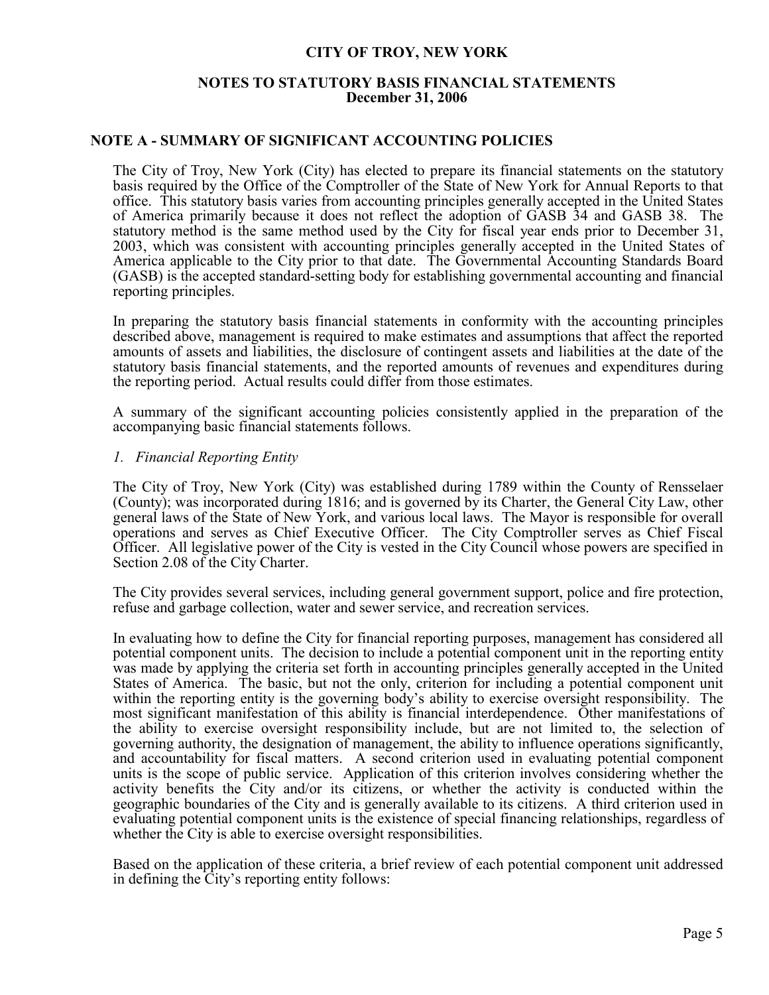## **NOTES TO STATUTORY BASIS FINANCIAL STATEMENTS December 31, 2006**

## **NOTE A - SUMMARY OF SIGNIFICANT ACCOUNTING POLICIES**

The City of Troy, New York (City) has elected to prepare its financial statements on the statutory basis required by the Office of the Comptroller of the State of New York for Annual Reports to that office. This statutory basis varies from accounting principles generally accepted in the United States of America primarily because it does not reflect the adoption of GASB 34 and GASB 38. The statutory method is the same method used by the City for fiscal year ends prior to December 31, 2003, which was consistent with accounting principles generally accepted in the United States of America applicable to the City prior to that date. The Governmental Accounting Standards Board (GASB) is the accepted standard-setting body for establishing governmental accounting and financial reporting principles.

In preparing the statutory basis financial statements in conformity with the accounting principles described above, management is required to make estimates and assumptions that affect the reported amounts of assets and liabilities, the disclosure of contingent assets and liabilities at the date of the statutory basis financial statements, and the reported amounts of revenues and expenditures during the reporting period. Actual results could differ from those estimates.

A summary of the significant accounting policies consistently applied in the preparation of the accompanying basic financial statements follows.

## *1. Financial Reporting Entity*

The City of Troy, New York (City) was established during 1789 within the County of Rensselaer (County); was incorporated during 1816; and is governed by its Charter, the General City Law, other general laws of the State of New York, and various local laws. The Mayor is responsible for overall operations and serves as Chief Executive Officer. The City Comptroller serves as Chief Fiscal Officer. All legislative power of the City is vested in the City Council whose powers are specified in Section 2.08 of the City Charter.

The City provides several services, including general government support, police and fire protection, refuse and garbage collection, water and sewer service, and recreation services.

In evaluating how to define the City for financial reporting purposes, management has considered all potential component units. The decision to include a potential component unit in the reporting entity was made by applying the criteria set forth in accounting principles generally accepted in the United States of America. The basic, but not the only, criterion for including a potential component unit within the reporting entity is the governing body's ability to exercise oversight responsibility. The most significant manifestation of this ability is financial interdependence. Other manifestations of the ability to exercise oversight responsibility include, but are not limited to, the selection of governing authority, the designation of management, the ability to influence operations significantly, and accountability for fiscal matters. A second criterion used in evaluating potential component units is the scope of public service. Application of this criterion involves considering whether the activity benefits the City and/or its citizens, or whether the activity is conducted within the geographic boundaries of the City and is generally available to its citizens. A third criterion used in evaluating potential component units is the existence of special financing relationships, regardless of whether the City is able to exercise oversight responsibilities.

Based on the application of these criteria, a brief review of each potential component unit addressed in defining the City's reporting entity follows: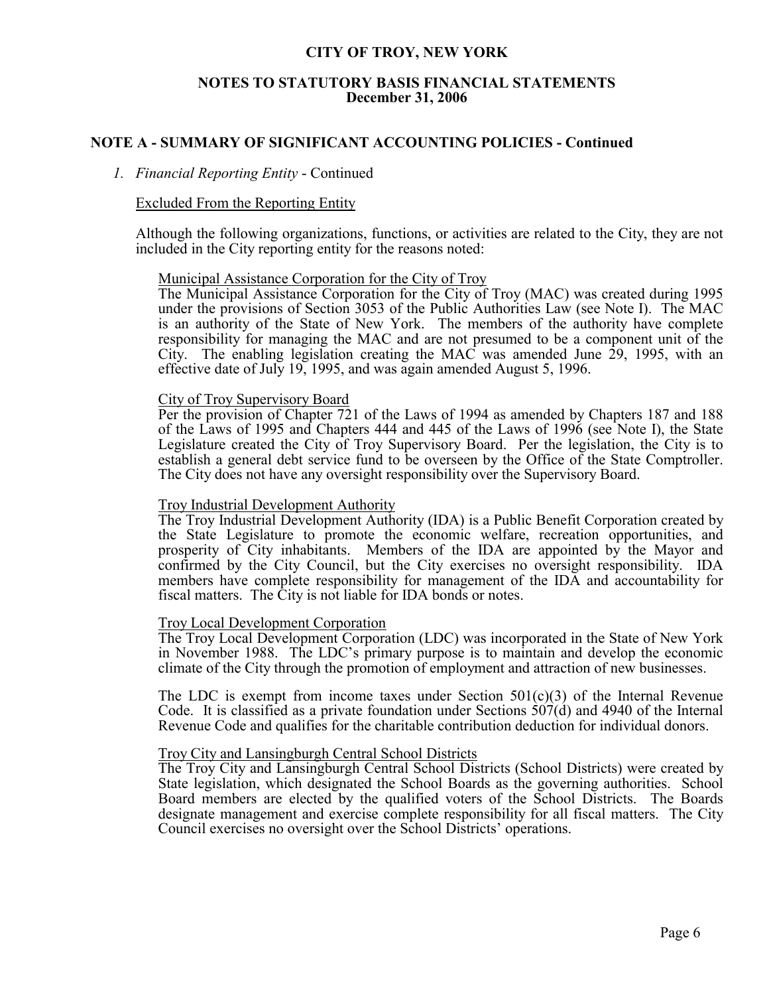## **NOTES TO STATUTORY BASIS FINANCIAL STATEMENTS December 31, 2006**

## **NOTE A - SUMMARY OF SIGNIFICANT ACCOUNTING POLICIES - Continued**

## *1. Financial Reporting Entity* - Continued

## Excluded From the Reporting Entity

Although the following organizations, functions, or activities are related to the City, they are not included in the City reporting entity for the reasons noted:

### Municipal Assistance Corporation for the City of Troy

The Municipal Assistance Corporation for the City of Troy (MAC) was created during 1995 under the provisions of Section 3053 of the Public Authorities Law (see Note I). The MAC is an authority of the State of New York. The members of the authority have complete responsibility for managing the MAC and are not presumed to be a component unit of the City. The enabling legislation creating the MAC was amended June  $\overline{29}$ , 1995, with an effective date of July 19, 1995, and was again amended August 5, 1996.

### City of Troy Supervisory Board

Per the provision of Chapter 721 of the Laws of 1994 as amended by Chapters 187 and 188 of the Laws of 1995 and Chapters 444 and 445 of the Laws of 1996 (see Note I), the State Legislature created the City of Troy Supervisory Board. Per the legislation, the City is to establish a general debt service fund to be overseen by the Office of the State Comptroller. The City does not have any oversight responsibility over the Supervisory Board.

## Troy Industrial Development Authority

The Troy Industrial Development Authority (IDA) is a Public Benefit Corporation created by the State Legislature to promote the economic welfare, recreation opportunities, and prosperity of City inhabitants. Members of the IDA are appointed by the Mayor and confirmed by the City Council, but the City exercises no oversight responsibility. IDA members have complete responsibility for management of the IDA and accountability for fiscal matters. The City is not liable for IDA bonds or notes.

## Troy Local Development Corporation

The Troy Local Development Corporation (LDC) was incorporated in the State of New York in November 1988. The LDC's primary purpose is to maintain and develop the economic climate of the City through the promotion of employment and attraction of new businesses.

The LDC is exempt from income taxes under Section  $501(c)(3)$  of the Internal Revenue Code. It is classified as a private foundation under Sections 507(d) and 4940 of the Internal Revenue Code and qualifies for the charitable contribution deduction for individual donors.

## Troy City and Lansingburgh Central School Districts

The Troy City and Lansingburgh Central School Districts (School Districts) were created by State legislation, which designated the School Boards as the governing authorities. School Board members are elected by the qualified voters of the School Districts. The Boards designate management and exercise complete responsibility for all fiscal matters. The City Council exercises no oversight over the School Districts' operations.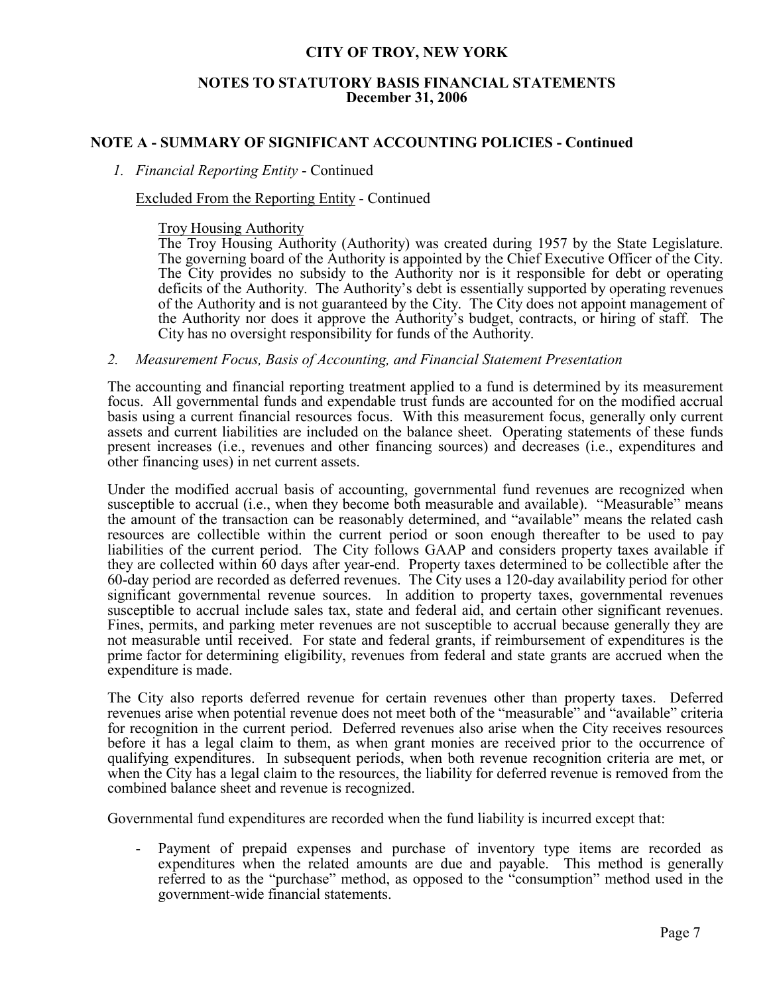## **NOTES TO STATUTORY BASIS FINANCIAL STATEMENTS December 31, 2006**

## **NOTE A - SUMMARY OF SIGNIFICANT ACCOUNTING POLICIES - Continued**

## *1. Financial Reporting Entity* - Continued

## Excluded From the Reporting Entity - Continued

#### Troy Housing Authority

The Troy Housing Authority (Authority) was created during 1957 by the State Legislature. The governing board of the Authority is appointed by the Chief Executive Officer of the City. The City provides no subsidy to the Authority nor is it responsible for debt or operating deficits of the Authority. The Authority's debt is essentially supported by operating revenues of the Authority and is not guaranteed by the City. The City does not appoint management of the Authority nor does it approve the Authority's budget, contracts, or hiring of staff. The City has no oversight responsibility for funds of the Authority.

## *2. Measurement Focus, Basis of Accounting, and Financial Statement Presentation*

The accounting and financial reporting treatment applied to a fund is determined by its measurement focus. All governmental funds and expendable trust funds are accounted for on the modified accrual basis using a current financial resources focus. With this measurement focus, generally only current assets and current liabilities are included on the balance sheet. Operating statements of these funds present increases (i.e., revenues and other financing sources) and decreases (i.e., expenditures and other financing uses) in net current assets.

Under the modified accrual basis of accounting, governmental fund revenues are recognized when susceptible to accrual (i.e., when they become both measurable and available). "Measurable" means the amount of the transaction can be reasonably determined, and "available" means the related cash resources are collectible within the current period or soon enough thereafter to be used to pay liabilities of the current period. The City follows GAAP and considers property taxes available if they are collected within 60 days after year-end. Property taxes determined to be collectible after the 60-day period are recorded as deferred revenues. The City uses a 120-day availability period for other significant governmental revenue sources. In addition to property taxes, governmental revenues susceptible to accrual include sales tax, state and federal aid, and certain other significant revenues. Fines, permits, and parking meter revenues are not susceptible to accrual because generally they are not measurable until received. For state and federal grants, if reimbursement of expenditures is the prime factor for determining eligibility, revenues from federal and state grants are accrued when the expenditure is made.

The City also reports deferred revenue for certain revenues other than property taxes. Deferred revenues arise when potential revenue does not meet both of the "measurable" and "available" criteria for recognition in the current period. Deferred revenues also arise when the City receives resources before it has a legal claim to them, as when grant monies are received prior to the occurrence of qualifying expenditures. In subsequent periods, when both revenue recognition criteria are met, or when the City has a legal claim to the resources, the liability for deferred revenue is removed from the combined balance sheet and revenue is recognized.

Governmental fund expenditures are recorded when the fund liability is incurred except that:

- Payment of prepaid expenses and purchase of inventory type items are recorded as expenditures when the related amounts are due and payable. This method is generally referred to as the "purchase" method, as opposed to the "consumption" method used in the government-wide financial statements.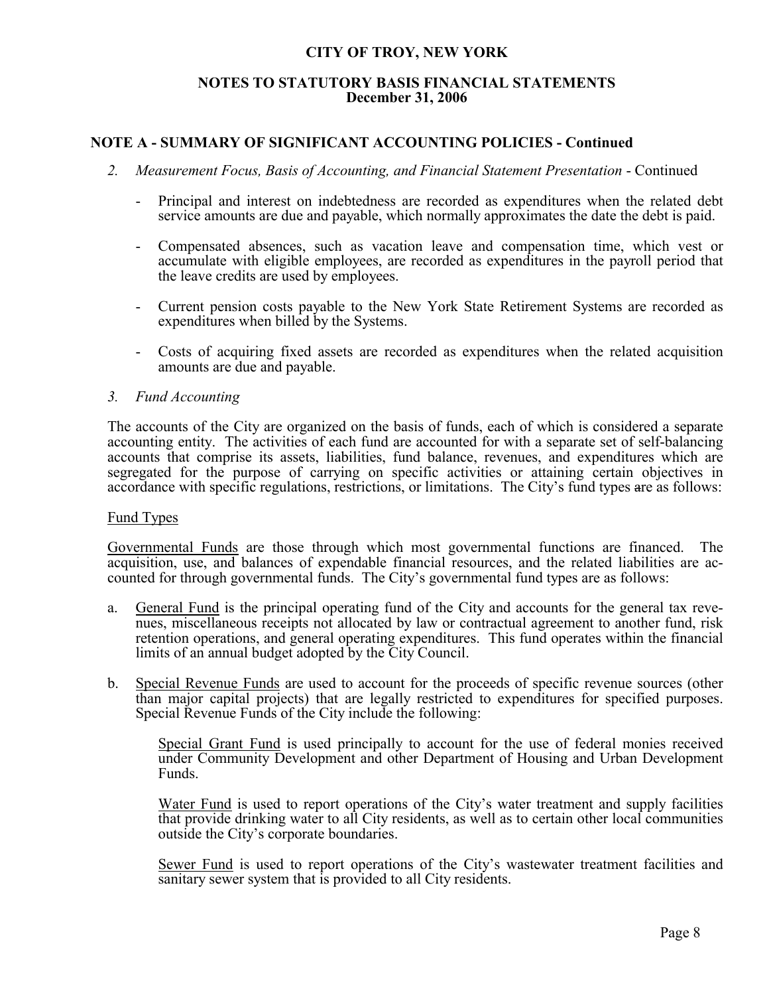## **NOTES TO STATUTORY BASIS FINANCIAL STATEMENTS December 31, 2006**

## **NOTE A - SUMMARY OF SIGNIFICANT ACCOUNTING POLICIES - Continued**

- *2. Measurement Focus, Basis of Accounting, and Financial Statement Presentation* Continued
	- Principal and interest on indebtedness are recorded as expenditures when the related debt service amounts are due and payable, which normally approximates the date the debt is paid.
	- Compensated absences, such as vacation leave and compensation time, which vest or accumulate with eligible employees, are recorded as expenditures in the payroll period that the leave credits are used by employees.
	- Current pension costs payable to the New York State Retirement Systems are recorded as expenditures when billed by the Systems.
	- Costs of acquiring fixed assets are recorded as expenditures when the related acquisition amounts are due and payable.

## *3. Fund Accounting*

The accounts of the City are organized on the basis of funds, each of which is considered a separate accounting entity. The activities of each fund are accounted for with a separate set of self-balancing accounts that comprise its assets, liabilities, fund balance, revenues, and expenditures which are segregated for the purpose of carrying on specific activities or attaining certain objectives in accordance with specific regulations, restrictions, or limitations. The City's fund types are as follows:

## Fund Types

Governmental Funds are those through which most governmental functions are financed. The acquisition, use, and balances of expendable financial resources, and the related liabilities are accounted for through governmental funds. The City's governmental fund types are as follows:

- a. General Fund is the principal operating fund of the City and accounts for the general tax revenues, miscellaneous receipts not allocated by law or contractual agreement to another fund, risk retention operations, and general operating expenditures. This fund operates within the financial limits of an annual budget adopted by the City Council.
- b. Special Revenue Funds are used to account for the proceeds of specific revenue sources (other than major capital projects) that are legally restricted to expenditures for specified purposes. Special Revenue Funds of the City include the following:

Special Grant Fund is used principally to account for the use of federal monies received under Community Development and other Department of Housing and Urban Development Funds.

Water Fund is used to report operations of the City's water treatment and supply facilities that provide drinking water to all City residents, as well as to certain other local communities outside the City's corporate boundaries.

Sewer Fund is used to report operations of the City's wastewater treatment facilities and sanitary sewer system that is provided to all City residents.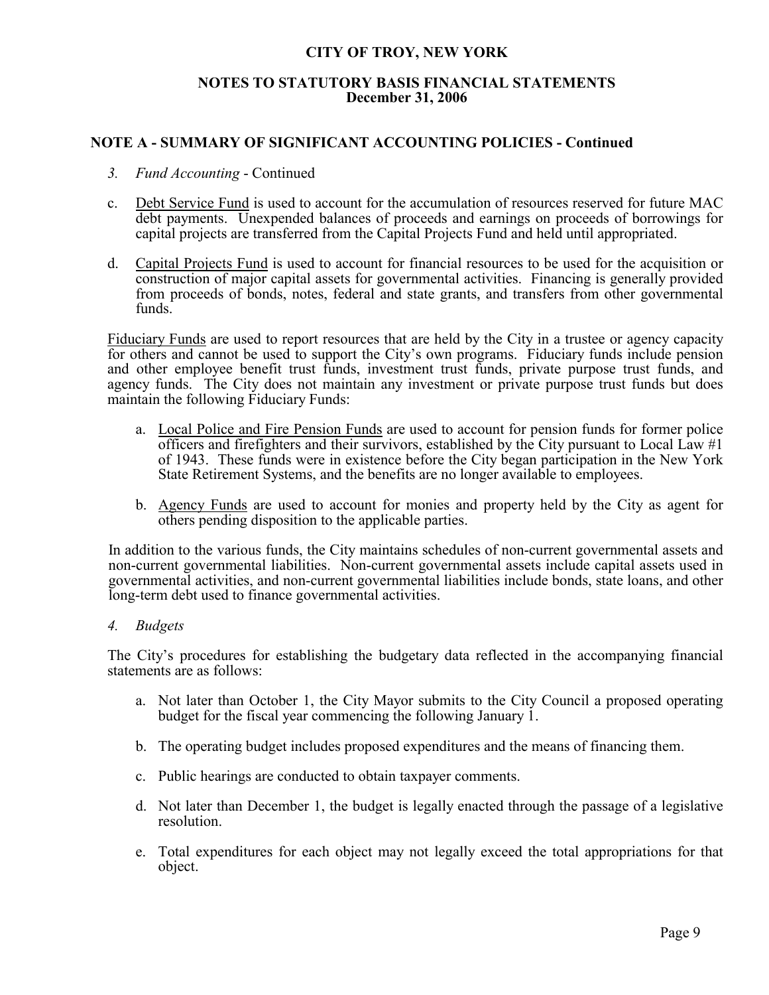## **NOTES TO STATUTORY BASIS FINANCIAL STATEMENTS December 31, 2006**

## **NOTE A - SUMMARY OF SIGNIFICANT ACCOUNTING POLICIES - Continued**

- *3. Fund Accounting* Continued
- c. Debt Service Fund is used to account for the accumulation of resources reserved for future MAC debt payments. Unexpended balances of proceeds and earnings on proceeds of borrowings for capital projects are transferred from the Capital Projects Fund and held until appropriated.
- d. Capital Projects Fund is used to account for financial resources to be used for the acquisition or construction of major capital assets for governmental activities. Financing is generally provided from proceeds of bonds, notes, federal and state grants, and transfers from other governmental funds.

Fiduciary Funds are used to report resources that are held by the City in a trustee or agency capacity for others and cannot be used to support the City's own programs. Fiduciary funds include pension and other employee benefit trust funds, investment trust funds, private purpose trust funds, and agency funds. The City does not maintain any investment or private purpose trust funds but does maintain the following Fiduciary Funds:

- a. Local Police and Fire Pension Funds are used to account for pension funds for former police officers and firefighters and their survivors, established by the City pursuant to Local Law #1 of 1943. These funds were in existence before the City began participation in the New York State Retirement Systems, and the benefits are no longer available to employees.
- b. Agency Funds are used to account for monies and property held by the City as agent for others pending disposition to the applicable parties.

In addition to the various funds, the City maintains schedules of non-current governmental assets and non-current governmental liabilities. Non-current governmental assets include capital assets used in governmental activities, and non-current governmental liabilities include bonds, state loans, and other long-term debt used to finance governmental activities.

*4. Budgets*

The City's procedures for establishing the budgetary data reflected in the accompanying financial statements are as follows:

- a. Not later than October 1, the City Mayor submits to the City Council a proposed operating budget for the fiscal year commencing the following January 1.
- b. The operating budget includes proposed expenditures and the means of financing them.
- c. Public hearings are conducted to obtain taxpayer comments.
- d. Not later than December 1, the budget is legally enacted through the passage of a legislative resolution.
- e. Total expenditures for each object may not legally exceed the total appropriations for that object.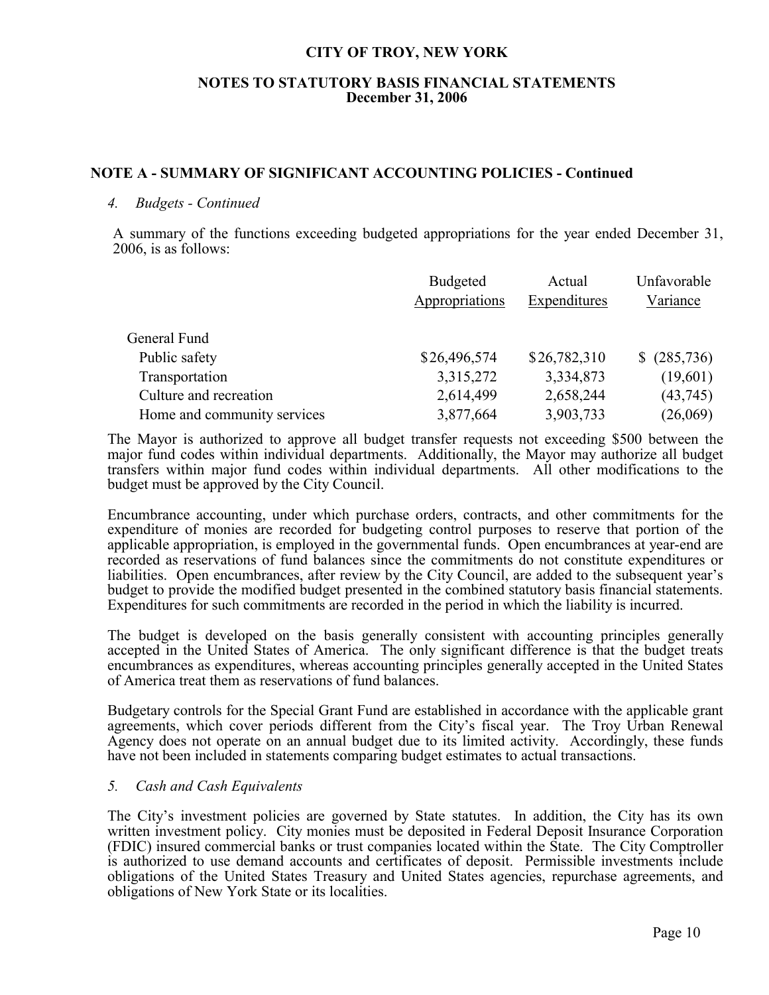## **NOTES TO STATUTORY BASIS FINANCIAL STATEMENTS December 31, 2006**

## **NOTE A - SUMMARY OF SIGNIFICANT ACCOUNTING POLICIES - Continued**

## *4. Budgets - Continued*

A summary of the functions exceeding budgeted appropriations for the year ended December 31, 2006, is as follows:

|                             | <b>Budgeted</b><br>Appropriations | Actual<br>Expenditures | Unfavorable<br>Variance |
|-----------------------------|-----------------------------------|------------------------|-------------------------|
| General Fund                |                                   |                        |                         |
| Public safety               | \$26,496,574                      | \$26,782,310           | \$ (285,736)            |
| Transportation              | 3,315,272                         | 3,334,873              | (19,601)                |
| Culture and recreation      | 2,614,499                         | 2,658,244              | (43,745)                |
| Home and community services | 3,877,664                         | 3,903,733              | (26,069)                |

The Mayor is authorized to approve all budget transfer requests not exceeding \$500 between the major fund codes within individual departments. Additionally, the Mayor may authorize all budget transfers within major fund codes within individual departments. All other modifications to the budget must be approved by the City Council.

Encumbrance accounting, under which purchase orders, contracts, and other commitments for the expenditure of monies are recorded for budgeting control purposes to reserve that portion of the applicable appropriation, is employed in the governmental funds. Open encumbrances at year-end are recorded as reservations of fund balances since the commitments do not constitute expenditures or liabilities. Open encumbrances, after review by the City Council, are added to the subsequent year's budget to provide the modified budget presented in the combined statutory basis financial statements. Expenditures for such commitments are recorded in the period in which the liability is incurred.

The budget is developed on the basis generally consistent with accounting principles generally accepted in the United States of America. The only significant difference is that the budget treats encumbrances as expenditures, whereas accounting principles generally accepted in the United States of America treat them as reservations of fund balances.

Budgetary controls for the Special Grant Fund are established in accordance with the applicable grant agreements, which cover periods different from the City's fiscal year. The Troy Urban Renewal Agency does not operate on an annual budget due to its limited activity. Accordingly, these funds have not been included in statements comparing budget estimates to actual transactions.

## *5. Cash and Cash Equivalents*

The City's investment policies are governed by State statutes. In addition, the City has its own written investment policy. City monies must be deposited in Federal Deposit Insurance Corporation (FDIC) insured commercial banks or trust companies located within the State. The City Comptroller is authorized to use demand accounts and certificates of deposit. Permissible investments include obligations of the United States Treasury and United States agencies, repurchase agreements, and obligations of New York State or its localities.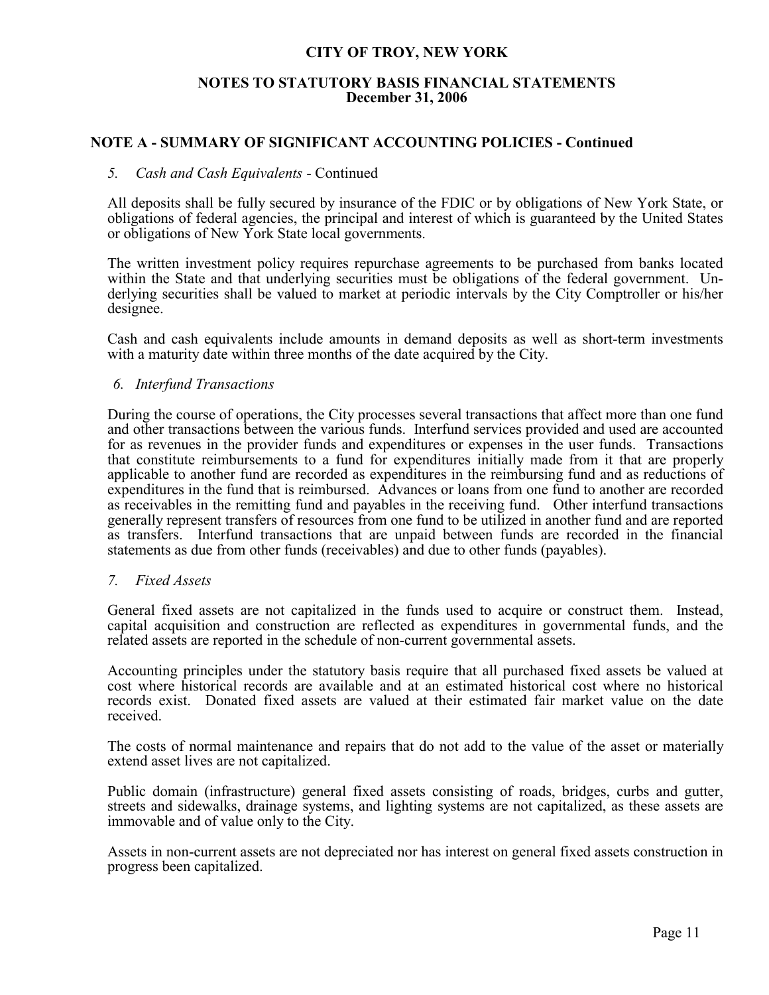## **NOTES TO STATUTORY BASIS FINANCIAL STATEMENTS December 31, 2006**

## **NOTE A - SUMMARY OF SIGNIFICANT ACCOUNTING POLICIES - Continued**

### *5. Cash and Cash Equivalents* - Continued

All deposits shall be fully secured by insurance of the FDIC or by obligations of New York State, or obligations of federal agencies, the principal and interest of which is guaranteed by the United States or obligations of New York State local governments.

The written investment policy requires repurchase agreements to be purchased from banks located within the State and that underlying securities must be obligations of the federal government. Underlying securities shall be valued to market at periodic intervals by the City Comptroller or his/her designee.

Cash and cash equivalents include amounts in demand deposits as well as short-term investments with a maturity date within three months of the date acquired by the City.

### *6. Interfund Transactions*

During the course of operations, the City processes several transactions that affect more than one fund and other transactions between the various funds. Interfund services provided and used are accounted for as revenues in the provider funds and expenditures or expenses in the user funds. Transactions that constitute reimbursements to a fund for expenditures initially made from it that are properly applicable to another fund are recorded as expenditures in the reimbursing fund and as reductions of expenditures in the fund that is reimbursed. Advances or loans from one fund to another are recorded as receivables in the remitting fund and payables in the receiving fund. Other interfund transactions generally represent transfers of resources from one fund to be utilized in another fund and are reported as transfers. Interfund transactions that are unpaid between funds are recorded in the financial statements as due from other funds (receivables) and due to other funds (payables).

## *7. Fixed Assets*

General fixed assets are not capitalized in the funds used to acquire or construct them. Instead, capital acquisition and construction are reflected as expenditures in governmental funds, and the related assets are reported in the schedule of non-current governmental assets.

Accounting principles under the statutory basis require that all purchased fixed assets be valued at cost where historical records are available and at an estimated historical cost where no historical records exist. Donated fixed assets are valued at their estimated fair market value on the date received.

The costs of normal maintenance and repairs that do not add to the value of the asset or materially extend asset lives are not capitalized.

Public domain (infrastructure) general fixed assets consisting of roads, bridges, curbs and gutter, streets and sidewalks, drainage systems, and lighting systems are not capitalized, as these assets are immovable and of value only to the City.

Assets in non-current assets are not depreciated nor has interest on general fixed assets construction in progress been capitalized.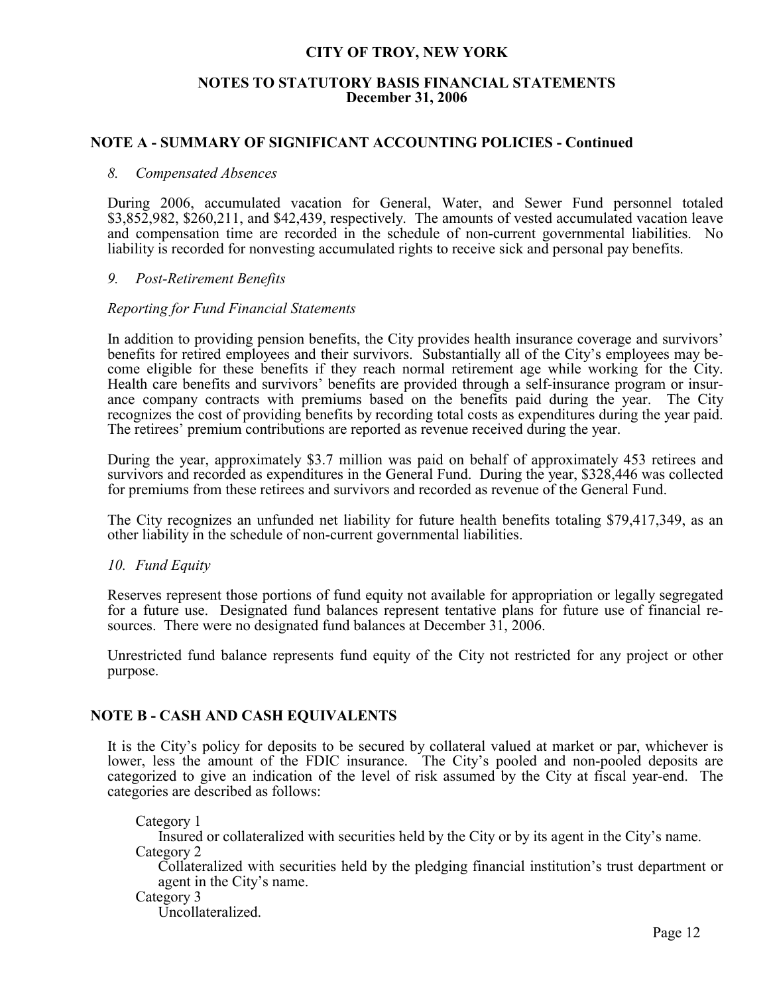## **NOTES TO STATUTORY BASIS FINANCIAL STATEMENTS December 31, 2006**

## **NOTE A - SUMMARY OF SIGNIFICANT ACCOUNTING POLICIES - Continued**

### *8. Compensated Absences*

During 2006, accumulated vacation for General, Water, and Sewer Fund personnel totaled \$3,852,982, \$260,211, and \$42,439, respectively. The amounts of vested accumulated vacation leave and compensation time are recorded in the schedule of non-current governmental liabilities. No liability is recorded for nonvesting accumulated rights to receive sick and personal pay benefits.

## *9. Post-Retirement Benefits*

### *Reporting for Fund Financial Statements*

In addition to providing pension benefits, the City provides health insurance coverage and survivors' benefits for retired employees and their survivors. Substantially all of the City's employees may become eligible for these benefits if they reach normal retirement age while working for the City. Health care benefits and survivors' benefits are provided through a self-insurance program or insurance company contracts with premiums based on the benefits paid during the year. The City recognizes the cost of providing benefits by recording total costs as expenditures during the year paid. The retirees' premium contributions are reported as revenue received during the year.

During the year, approximately \$3.7 million was paid on behalf of approximately 453 retirees and survivors and recorded as expenditures in the General Fund. During the year, \$328,446 was collected for premiums from these retirees and survivors and recorded as revenue of the General Fund.

The City recognizes an unfunded net liability for future health benefits totaling \$79,417,349, as an other liability in the schedule of non-current governmental liabilities.

## *10. Fund Equity*

Reserves represent those portions of fund equity not available for appropriation or legally segregated for a future use. Designated fund balances represent tentative plans for future use of financial resources. There were no designated fund balances at December 31, 2006.

Unrestricted fund balance represents fund equity of the City not restricted for any project or other purpose.

## **NOTE B - CASH AND CASH EQUIVALENTS**

It is the City's policy for deposits to be secured by collateral valued at market or par, whichever is lower, less the amount of the FDIC insurance. The City's pooled and non-pooled deposits are categorized to give an indication of the level of risk assumed by the City at fiscal year-end. The categories are described as follows:

Category 1

Insured or collateralized with securities held by the City or by its agent in the City's name. Category 2

Collateralized with securities held by the pledging financial institution's trust department or agent in the City's name.

Category 3

Uncollateralized.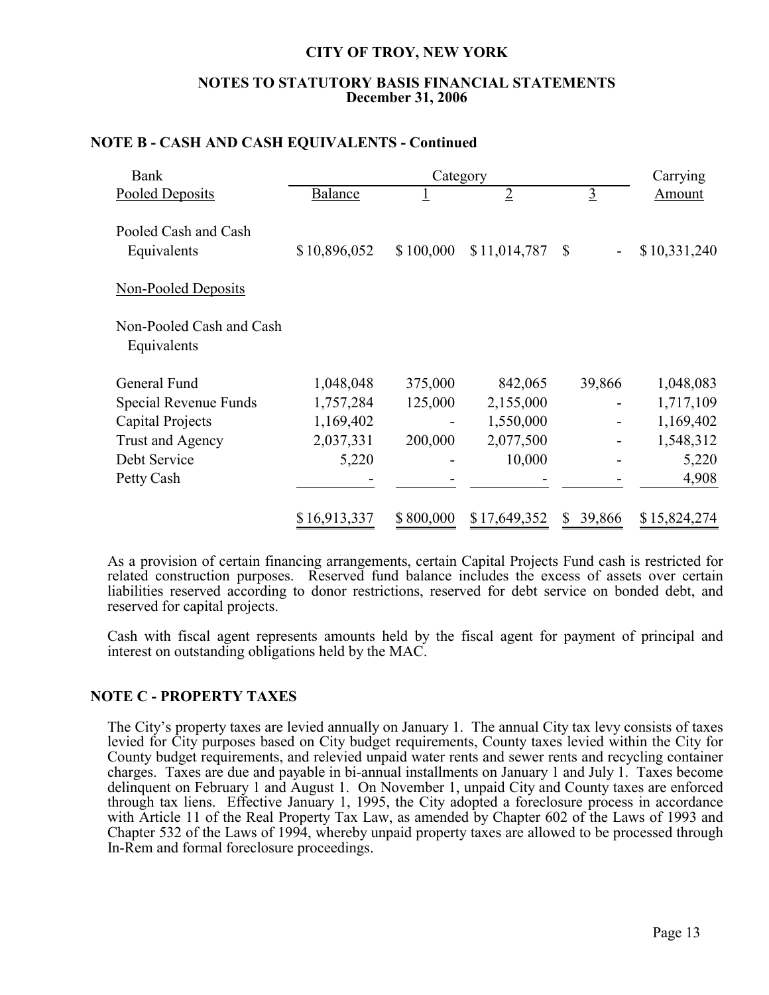## **NOTES TO STATUTORY BASIS FINANCIAL STATEMENTS December 31, 2006**

|  |  | NOTE B - CASH AND CASH EQUIVALENTS - Continued |  |
|--|--|------------------------------------------------|--|
|--|--|------------------------------------------------|--|

| Bank                                    |                | Carrying  |                |                |              |
|-----------------------------------------|----------------|-----------|----------------|----------------|--------------|
| Pooled Deposits                         | <b>Balance</b> |           | $\overline{2}$ | $\mathfrak{Z}$ | Amount       |
| Pooled Cash and Cash<br>Equivalents     | \$10,896,052   | \$100,000 | \$11,014,787   | $\mathbb{S}$   | \$10,331,240 |
| <b>Non-Pooled Deposits</b>              |                |           |                |                |              |
| Non-Pooled Cash and Cash<br>Equivalents |                |           |                |                |              |
| General Fund                            | 1,048,048      | 375,000   | 842,065        | 39,866         | 1,048,083    |
| Special Revenue Funds                   | 1,757,284      | 125,000   | 2,155,000      |                | 1,717,109    |
| Capital Projects                        | 1,169,402      |           | 1,550,000      |                | 1,169,402    |
| Trust and Agency                        | 2,037,331      | 200,000   | 2,077,500      |                | 1,548,312    |
| Debt Service                            | 5,220          |           | 10,000         |                | 5,220        |
| Petty Cash                              |                |           |                |                | 4,908        |
|                                         | \$16,913,337   | \$800,000 | \$17,649,352   | 39,866<br>\$   | \$15,824,274 |

As a provision of certain financing arrangements, certain Capital Projects Fund cash is restricted for related construction purposes. Reserved fund balance includes the excess of assets over certain liabilities reserved according to donor restrictions, reserved for debt service on bonded debt, and reserved for capital projects.

Cash with fiscal agent represents amounts held by the fiscal agent for payment of principal and interest on outstanding obligations held by the MAC.

## **NOTE C - PROPERTY TAXES**

The City's property taxes are levied annually on January 1. The annual City tax levy consists of taxes levied for City purposes based on City budget requirements, County taxes levied within the City for County budget requirements, and relevied unpaid water rents and sewer rents and recycling container charges. Taxes are due and payable in bi-annual installments on January 1 and July 1. Taxes become delinquent on February 1 and August 1. On November 1, unpaid City and County taxes are enforced through tax liens. Effective January 1, 1995, the City adopted a foreclosure process in accordance with Article 11 of the Real Property Tax Law, as amended by Chapter 602 of the Laws of 1993 and Chapter 532 of the Laws of 1994, whereby unpaid property taxes are allowed to be processed through In-Rem and formal foreclosure proceedings.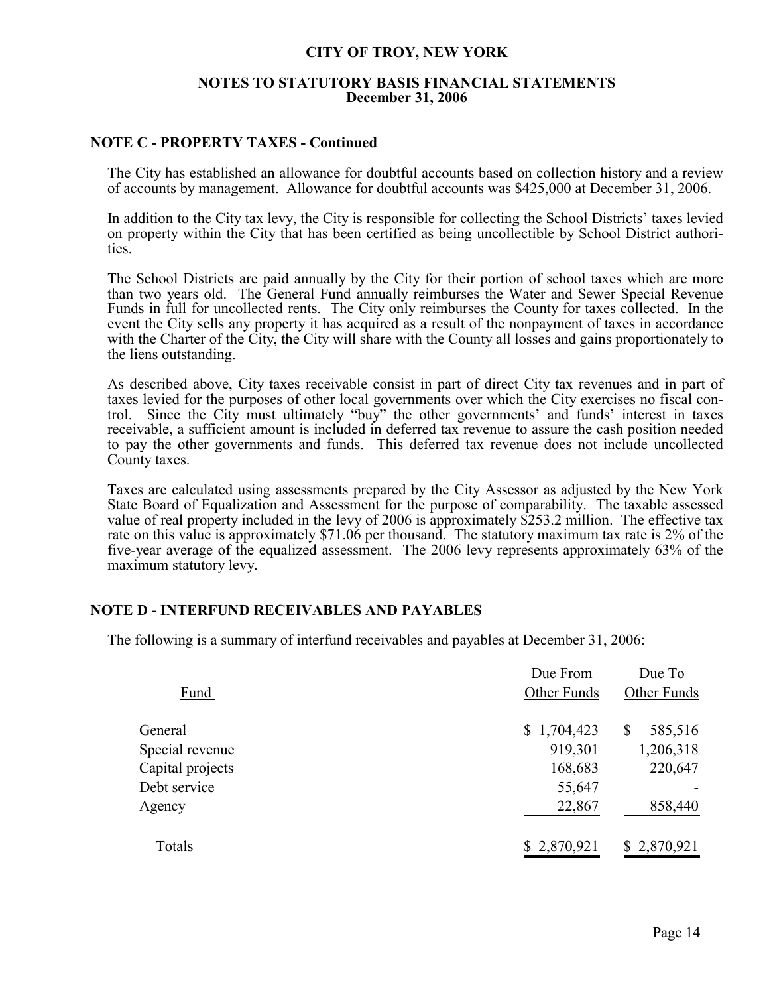## **NOTES TO STATUTORY BASIS FINANCIAL STATEMENTS December 31, 2006**

## **NOTE C - PROPERTY TAXES - Continued**

The City has established an allowance for doubtful accounts based on collection history and a review of accounts by management. Allowance for doubtful accounts was \$425,000 at December 31, 2006.

In addition to the City tax levy, the City is responsible for collecting the School Districts' taxes levied on property within the City that has been certified as being uncollectible by School District authorities.

The School Districts are paid annually by the City for their portion of school taxes which are more than two years old. The General Fund annually reimburses the Water and Sewer Special Revenue Funds in full for uncollected rents. The City only reimburses the County for taxes collected. In the event the City sells any property it has acquired as a result of the nonpayment of taxes in accordance with the Charter of the City, the City will share with the County all losses and gains proportionately to the liens outstanding.

As described above, City taxes receivable consist in part of direct City tax revenues and in part of taxes levied for the purposes of other local governments over which the City exercises no fiscal control. Since the City must ultimately "buy" the other governments' and funds' interest in taxes receivable, a sufficient amount is included in deferred tax revenue to assure the cash position needed to pay the other governments and funds. This deferred tax revenue does not include uncollected County taxes.

Taxes are calculated using assessments prepared by the City Assessor as adjusted by the New York State Board of Equalization and Assessment for the purpose of comparability. The taxable assessed value of real property included in the levy of 2006 is approximately \$253.2 million. The effective tax rate on this value is approximately \$71.06 per thousand. The statutory maximum tax rate is 2% of the five-year average of the equalized assessment. The 2006 levy represents approximately 63% of the maximum statutory levy.

## **NOTE D - INTERFUND RECEIVABLES AND PAYABLES**

The following is a summary of interfund receivables and payables at December 31, 2006:

|                  | Due From    | Due To       |
|------------------|-------------|--------------|
| Fund             | Other Funds | Other Funds  |
| General          | \$1,704,423 | 585,516<br>S |
| Special revenue  | 919,301     | 1,206,318    |
| Capital projects | 168,683     | 220,647      |
| Debt service     | 55,647      |              |
| Agency           | 22,867      | 858,440      |
| Totals           | \$2,870,921 | \$2,870,921  |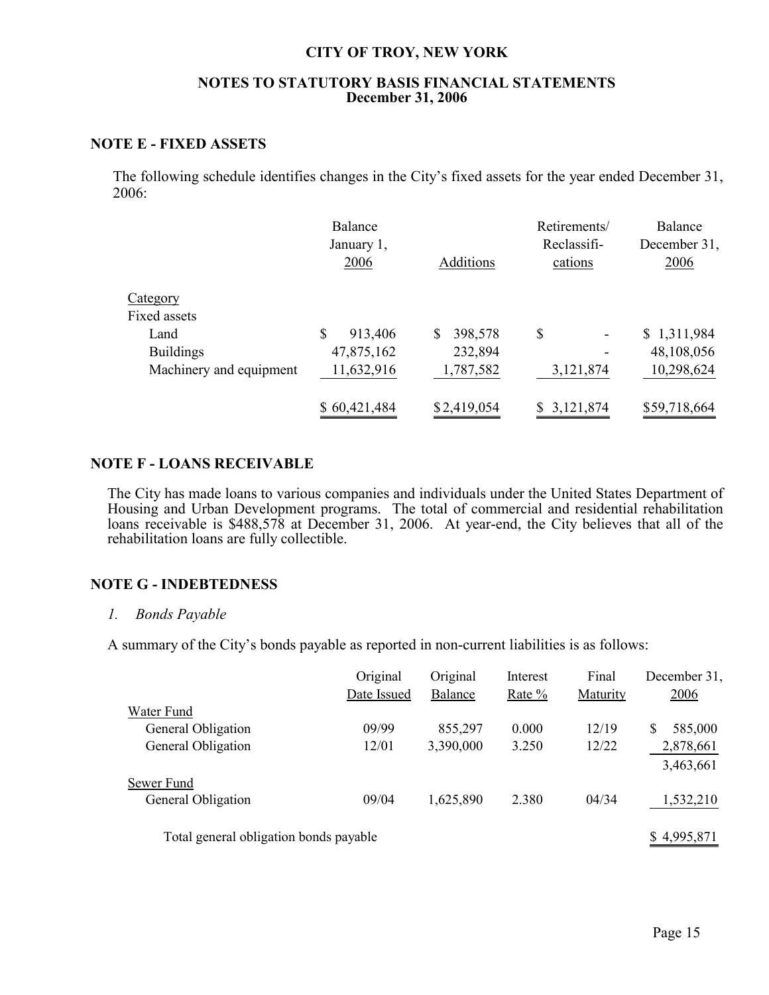## **NOTES TO STATUTORY BASIS FINANCIAL STATEMENTS December 31, 2006**

## **NOTE E - FIXED ASSETS**

The following schedule identifies changes in the City's fixed assets for the year ended December 31, 2006:

|                         | Balance<br>January 1,<br>2006 | Additions     | Retirements/<br>Reclassifi-<br>cations | Balance<br>December 31,<br>2006 |
|-------------------------|-------------------------------|---------------|----------------------------------------|---------------------------------|
| Category                |                               |               |                                        |                                 |
| Fixed assets            |                               |               |                                        |                                 |
| Land                    | \$<br>913,406                 | 398,578<br>\$ | \$<br>$\overline{\phantom{a}}$         | \$1,311,984                     |
| <b>Buildings</b>        | 47,875,162                    | 232,894       | ۰                                      | 48,108,056                      |
| Machinery and equipment | 11,632,916                    | 1,787,582     | 3,121,874                              | 10,298,624                      |
|                         | \$60,421,484                  | \$2,419,054   | \$3,121,874                            | \$59,718,664                    |

## **NOTE F - LOANS RECEIVABLE**

The City has made loans to various companies and individuals under the United States Department of Housing and Urban Development programs. The total of commercial and residential rehabilitation loans receivable is \$488,578 at December 31, 2006. At year-end, the City believes that all of the rehabilitation loans are fully collectible.

## **NOTE G - INDEBTEDNESS**

#### *1. Bonds Payable*

A summary of the City's bonds payable as reported in non-current liabilities is as follows:

|                    | Original    | Original       | Interest | Final    | December 31. |
|--------------------|-------------|----------------|----------|----------|--------------|
|                    | Date Issued | <b>Balance</b> | Rate %   | Maturity | <u>2006</u>  |
| Water Fund         |             |                |          |          |              |
| General Obligation | 09/99       | 855,297        | 0.000    | 12/19    | 585,000<br>S |
| General Obligation | 12/01       | 3,390,000      | 3.250    | 12/22    | 2,878,661    |
|                    |             |                |          |          | 3,463,661    |
| Sewer Fund         |             |                |          |          |              |
| General Obligation | 09/04       | 1,625,890      | 2.380    | 04/34    | 1,532,210    |
|                    |             |                |          |          |              |
|                    |             |                |          |          |              |

Total general obligation bonds payable  $$ 4,995,871$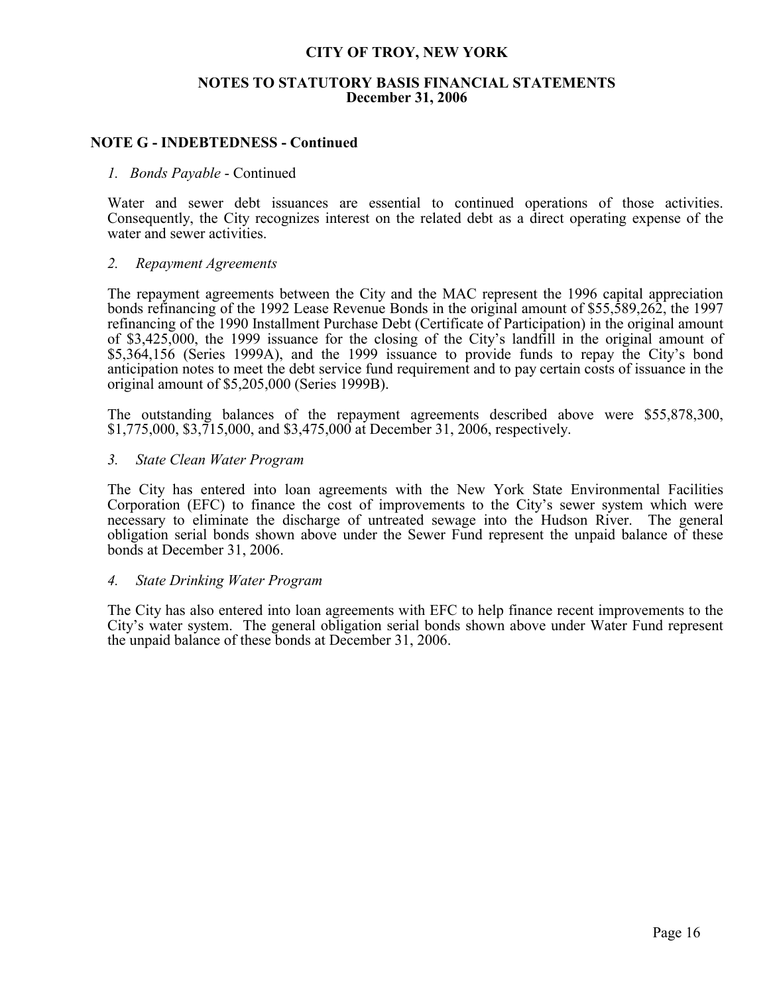## **NOTES TO STATUTORY BASIS FINANCIAL STATEMENTS December 31, 2006**

## **NOTE G - INDEBTEDNESS - Continued**

## *1. Bonds Payable* - Continued

Water and sewer debt issuances are essential to continued operations of those activities. Consequently, the City recognizes interest on the related debt as a direct operating expense of the water and sewer activities.

## *2. Repayment Agreements*

The repayment agreements between the City and the MAC represent the 1996 capital appreciation bonds refinancing of the 1992 Lease Revenue Bonds in the original amount of \$55,589,262, the 1997 refinancing of the 1990 Installment Purchase Debt (Certificate of Participation) in the original amount of \$3,425,000, the 1999 issuance for the closing of the City's landfill in the original amount of \$5,364,156 (Series 1999A), and the 1999 issuance to provide funds to repay the City's bond anticipation notes to meet the debt service fund requirement and to pay certain costs of issuance in the original amount of \$5,205,000 (Series 1999B).

The outstanding balances of the repayment agreements described above were \$55,878,300, \$1,775,000, \$3,715,000, and \$3,475,000 at December 31, 2006, respectively.

### *3. State Clean Water Program*

The City has entered into loan agreements with the New York State Environmental Facilities Corporation (EFC) to finance the cost of improvements to the City's sewer system which were necessary to eliminate the discharge of untreated sewage into the Hudson River. The general obligation serial bonds shown above under the Sewer Fund represent the unpaid balance of these bonds at December 31, 2006.

## *4. State Drinking Water Program*

The City has also entered into loan agreements with EFC to help finance recent improvements to the City's water system. The general obligation serial bonds shown above under Water Fund represent the unpaid balance of these bonds at December 31, 2006.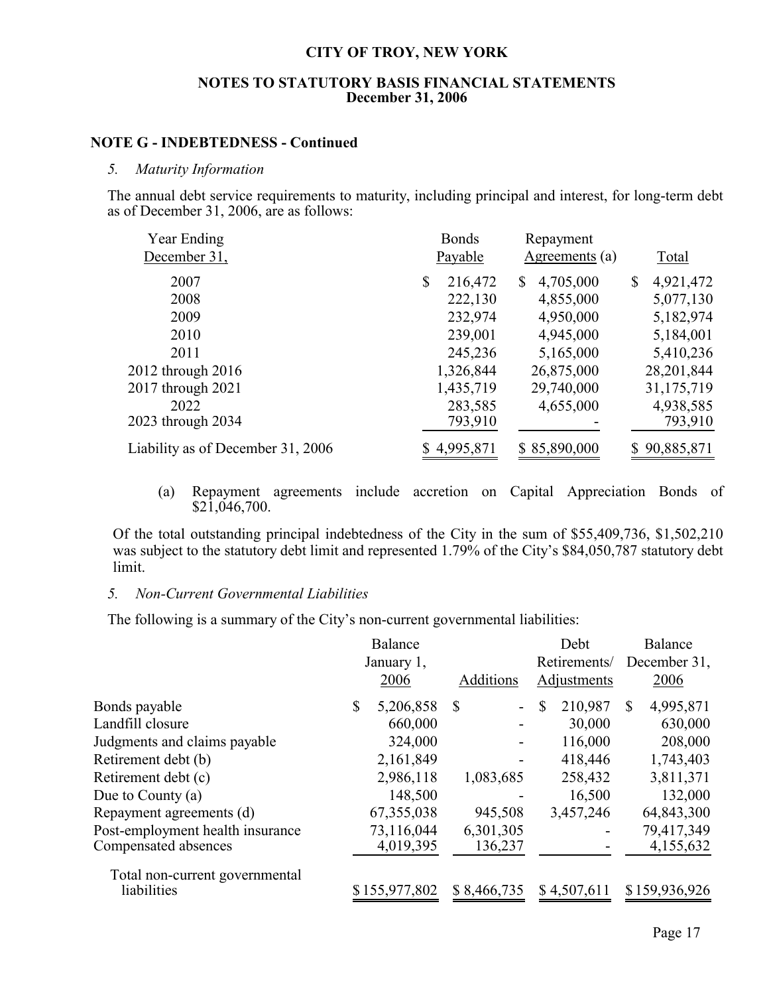## **NOTES TO STATUTORY BASIS FINANCIAL STATEMENTS December 31, 2006**

## **NOTE G - INDEBTEDNESS - Continued**

### *5. Maturity Information*

The annual debt service requirements to maturity, including principal and interest, for long-term debt as of December 31, 2006, are as follows:

| Year Ending                       | <b>Bonds</b>  |              | Repayment      |    |              |
|-----------------------------------|---------------|--------------|----------------|----|--------------|
| December 31,                      | Payable       |              | Agreements (a) |    | Total        |
| 2007                              | \$<br>216,472 | S.           | 4,705,000      | \$ | 4,921,472    |
| 2008                              | 222,130       |              | 4,855,000      |    | 5,077,130    |
| 2009                              | 232,974       |              | 4,950,000      |    | 5,182,974    |
| 2010                              | 239,001       |              | 4,945,000      |    | 5,184,001    |
| 2011                              | 245,236       |              | 5,165,000      |    | 5,410,236    |
| 2012 through 2016                 | 1,326,844     |              | 26,875,000     |    | 28,201,844   |
| 2017 through 2021                 | 1,435,719     |              | 29,740,000     |    | 31,175,719   |
| 2022                              | 283,585       |              | 4,655,000      |    | 4,938,585    |
| 2023 through 2034                 | 793,910       |              |                |    | 793,910      |
| Liability as of December 31, 2006 | 4,995,871     | \$85,890,000 |                |    | \$90,885,871 |
|                                   |               |              |                |    |              |

(a) Repayment agreements include accretion on Capital Appreciation Bonds of  $$2\overline{1,046,700}.$ 

Of the total outstanding principal indebtedness of the City in the sum of \$55,409,736, \$1,502,210 was subject to the statutory debt limit and represented 1.79% of the City's \$84,050,787 statutory debt limit.

### *5. Non-Current Governmental Liabilities*

The following is a summary of the City's non-current governmental liabilities:

|                                  |            | <b>Balance</b> |                  | Debt         |              | Balance       |
|----------------------------------|------------|----------------|------------------|--------------|--------------|---------------|
|                                  | January 1, |                |                  | Retirements/ |              | December 31,  |
|                                  |            | 2006           | <b>Additions</b> | Adjustments  |              | 2006          |
| Bonds payable                    | \$         | 5,206,858      | -S<br>-          | 210,987<br>S | $\mathbb{S}$ | 4,995,871     |
| Landfill closure                 |            | 660,000        |                  | 30,000       |              | 630,000       |
| Judgments and claims payable     |            | 324,000        |                  | 116,000      |              | 208,000       |
| Retirement debt (b)              |            | 2,161,849      |                  | 418,446      |              | 1,743,403     |
| Retirement debt (c)              |            | 2,986,118      | 1,083,685        | 258,432      |              | 3,811,371     |
| Due to County $(a)$              |            | 148,500        |                  | 16,500       |              | 132,000       |
| Repayment agreements (d)         |            | 67, 355, 038   | 945,508          | 3,457,246    |              | 64,843,300    |
| Post-employment health insurance |            | 73,116,044     | 6,301,305        |              |              | 79,417,349    |
| Compensated absences             |            | 4,019,395      | 136,237          |              |              | 4,155,632     |
| Total non-current governmental   |            |                |                  |              |              |               |
| liabilities                      |            | \$155,977,802  | \$8,466,735      | \$4,507,611  |              | \$159,936,926 |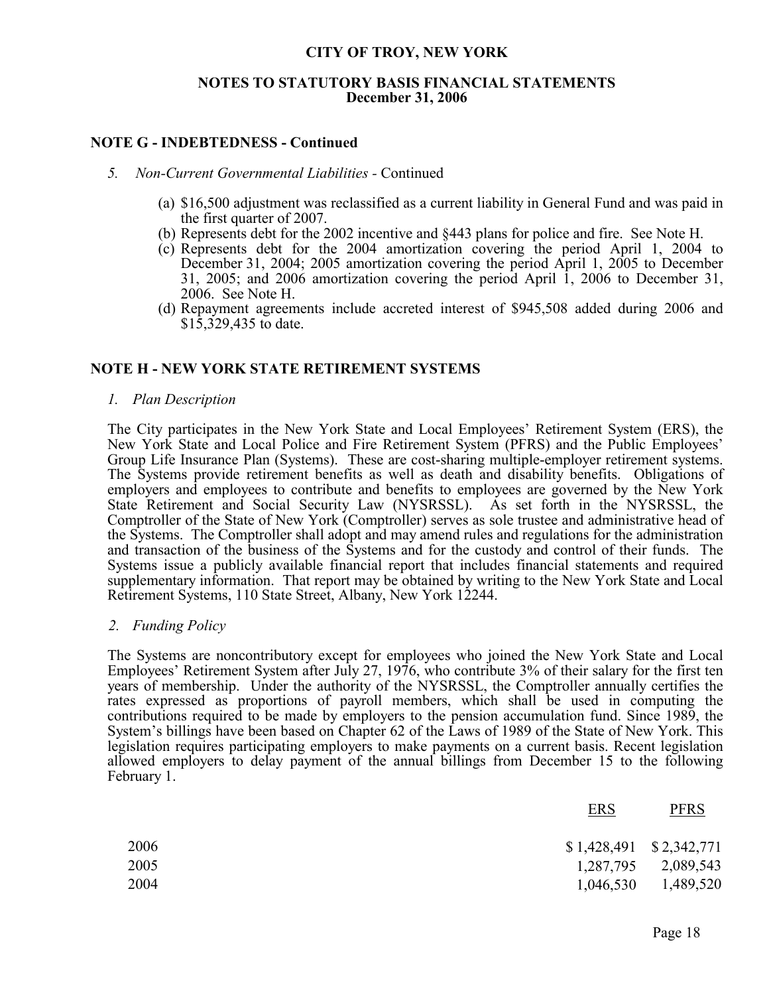## **NOTES TO STATUTORY BASIS FINANCIAL STATEMENTS December 31, 2006**

## **NOTE G - INDEBTEDNESS - Continued**

### *5. Non-Current Governmental Liabilities -* Continued

- (a) \$16,500 adjustment was reclassified as a current liability in General Fund and was paid in the first quarter of 2007.
- (b) Represents debt for the 2002 incentive and §443 plans for police and fire. See Note H.
- (c) Represents debt for the 2004 amortization covering the period April 1, 2004 to December 31, 2004; 2005 amortization covering the period April 1, 2005 to December 31, 2005; and 2006 amortization covering the period April 1, 2006 to December 31, 2006. See Note H.
- (d) Repayment agreements include accreted interest of \$945,508 added during 2006 and \$15,329,435 to date.

## **NOTE H - NEW YORK STATE RETIREMENT SYSTEMS**

### *1. Plan Description*

The City participates in the New York State and Local Employees' Retirement System (ERS), the New York State and Local Police and Fire Retirement System (PFRS) and the Public Employees' Group Life Insurance Plan (Systems). These are cost-sharing multiple-employer retirement systems. The Systems provide retirement benefits as well as death and disability benefits. Obligations of employers and employees to contribute and benefits to employees are governed by the New York State Retirement and Social Security Law (NYSRSSL). As set forth in the NYSRSSL, the Comptroller of the State of New York (Comptroller) serves as sole trustee and administrative head of the Systems. The Comptroller shall adopt and may amend rules and regulations for the administration and transaction of the business of the Systems and for the custody and control of their funds. The Systems issue a publicly available financial report that includes financial statements and required supplementary information. That report may be obtained by writing to the New York State and Local Retirement Systems, 110 State Street, Albany, New York 12244.

## *2. Funding Policy*

The Systems are noncontributory except for employees who joined the New York State and Local Employees' Retirement System after July 27, 1976, who contribute 3% of their salary for the first ten years of membership. Under the authority of the NYSRSSL, the Comptroller annually certifies the rates expressed as proportions of payroll members, which shall be used in computing the contributions required to be made by employers to the pension accumulation fund. Since 1989, the System's billings have been based on Chapter 62 of the Laws of 1989 of the State of New York. This legislation requires participating employers to make payments on a current basis. Recent legislation allowed employers to delay payment of the annual billings from December 15 to the following February 1.

| <b>ERS</b>                | <b>PFRS</b> |
|---------------------------|-------------|
| $$1,428,491$ $$2,342,771$ |             |
| 1,287,795                 | 2,089,543   |
| 1,046,530                 | 1,489,520   |
|                           |             |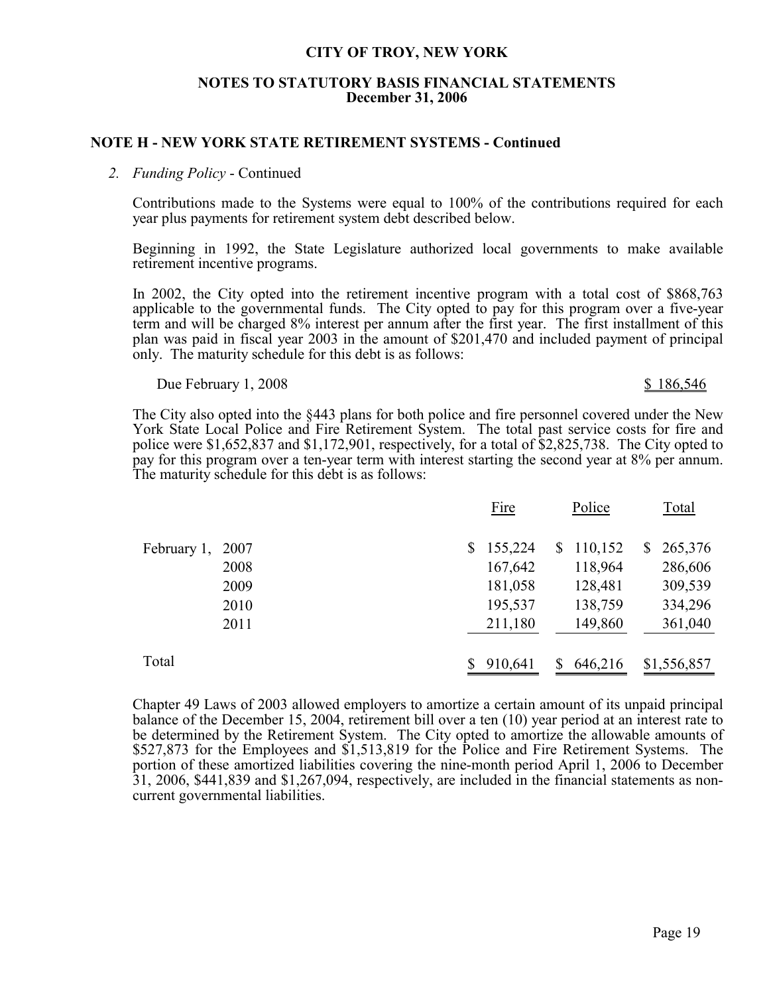## **NOTES TO STATUTORY BASIS FINANCIAL STATEMENTS December 31, 2006**

## **NOTE H - NEW YORK STATE RETIREMENT SYSTEMS - Continued**

## *2. Funding Policy* - Continued

Contributions made to the Systems were equal to 100% of the contributions required for each year plus payments for retirement system debt described below.

Beginning in 1992, the State Legislature authorized local governments to make available retirement incentive programs.

In 2002, the City opted into the retirement incentive program with a total cost of \$868,763 applicable to the governmental funds. The City opted to pay for this program over a five-year term and will be charged 8% interest per annum after the first year. The first installment of this plan was paid in fiscal year 2003 in the amount of \$201,470 and included payment of principal only. The maturity schedule for this debt is as follows:

Due February 1, 2008  $\text{S}$  186,546

The City also opted into the §443 plans for both police and fire personnel covered under the New York State Local Police and Fire Retirement System. The total past service costs for fire and police were \$1,652,837 and \$1,172,901, respectively, for a total of \$2,825,738. The City opted to pay for this program over a ten-year term with interest starting the second year at 8% per annum. The maturity schedule for this debt is as follows:

|             |      |    | Fire    | Police |         |                | Total       |
|-------------|------|----|---------|--------|---------|----------------|-------------|
| February 1, | 2007 | S. | 155,224 | \$     | 110,152 | $\mathbb{S}^-$ | 265,376     |
|             | 2008 |    | 167,642 |        | 118,964 |                | 286,606     |
|             | 2009 |    | 181,058 |        | 128,481 |                | 309,539     |
|             | 2010 |    | 195,537 |        | 138,759 |                | 334,296     |
|             | 2011 |    | 211,180 |        | 149,860 |                | 361,040     |
| Total       |      |    | 910,641 | S      | 646,216 |                | \$1,556,857 |

Chapter 49 Laws of 2003 allowed employers to amortize a certain amount of its unpaid principal balance of the December 15, 2004, retirement bill over a ten (10) year period at an interest rate to be determined by the Retirement System. The City opted to amortize the allowable amounts of \$527,873 for the Employees and \$1,513,819 for the Police and Fire Retirement Systems. The portion of these amortized liabilities covering the nine-month period April 1, 2006 to December 31, 2006, \$441,839 and \$1,267,094, respectively, are included in the financial statements as noncurrent governmental liabilities.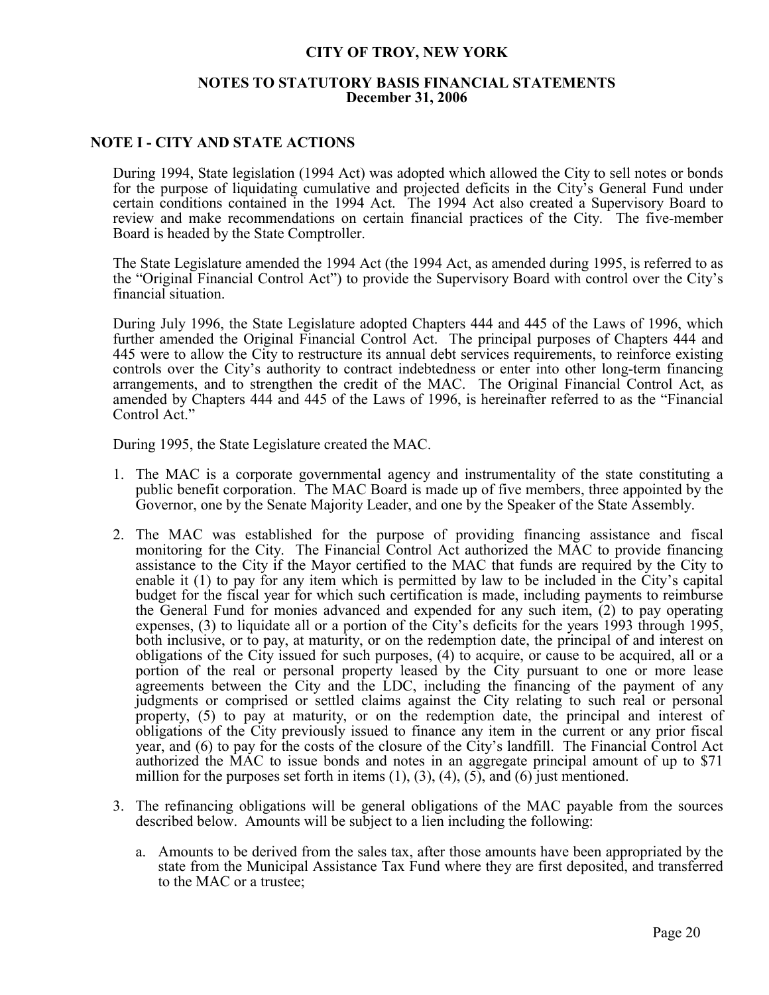## **NOTES TO STATUTORY BASIS FINANCIAL STATEMENTS December 31, 2006**

## **NOTE I - CITY AND STATE ACTIONS**

During 1994, State legislation (1994 Act) was adopted which allowed the City to sell notes or bonds for the purpose of liquidating cumulative and projected deficits in the City's General Fund under certain conditions contained in the 1994 Act. The 1994 Act also created a Supervisory Board to review and make recommendations on certain financial practices of the City. The five-member Board is headed by the State Comptroller.

The State Legislature amended the 1994 Act (the 1994 Act, as amended during 1995, is referred to as the "Original Financial Control Act") to provide the Supervisory Board with control over the City's financial situation.

During July 1996, the State Legislature adopted Chapters 444 and 445 of the Laws of 1996, which further amended the Original Financial Control Act. The principal purposes of Chapters 444 and 445 were to allow the City to restructure its annual debt services requirements, to reinforce existing controls over the City's authority to contract indebtedness or enter into other long-term financing arrangements, and to strengthen the credit of the MAC. The Original Financial Control Act, as amended by Chapters 444 and 445 of the Laws of 1996, is hereinafter referred to as the "Financial Control Act."

During 1995, the State Legislature created the MAC.

- 1. The MAC is a corporate governmental agency and instrumentality of the state constituting a public benefit corporation. The MAC Board is made up of five members, three appointed by the Governor, one by the Senate Majority Leader, and one by the Speaker of the State Assembly.
- 2. The MAC was established for the purpose of providing financing assistance and fiscal monitoring for the City. The Financial Control Act authorized the MAC to provide financing assistance to the City if the Mayor certified to the MAC that funds are required by the City to enable it (1) to pay for any item which is permitted by law to be included in the City's capital budget for the fiscal year for which such certification is made, including payments to reimburse the General Fund for monies advanced and expended for any such item, (2) to pay operating expenses, (3) to liquidate all or a portion of the City's deficits for the years 1993 through 1995, both inclusive, or to pay, at maturity, or on the redemption date, the principal of and interest on obligations of the City issued for such purposes, (4) to acquire, or cause to be acquired, all or a portion of the real or personal property leased by the City pursuant to one or more lease agreements between the City and the LDC, including the financing of the payment of any judgments or comprised or settled claims against the City relating to such real or personal property, (5) to pay at maturity, or on the redemption date, the principal and interest of obligations of the City previously issued to finance any item in the current or any prior fiscal year, and (6) to pay for the costs of the closure of the City's landfill. The Financial Control Act authorized the MAC to issue bonds and notes in an aggregate principal amount of up to \$71 million for the purposes set forth in items  $(1)$ ,  $(3)$ ,  $(4)$ ,  $(5)$ , and  $(6)$  just mentioned.
- 3. The refinancing obligations will be general obligations of the MAC payable from the sources described below. Amounts will be subject to a lien including the following:
	- a. Amounts to be derived from the sales tax, after those amounts have been appropriated by the state from the Municipal Assistance Tax Fund where they are first deposited, and transferred to the MAC or a trustee;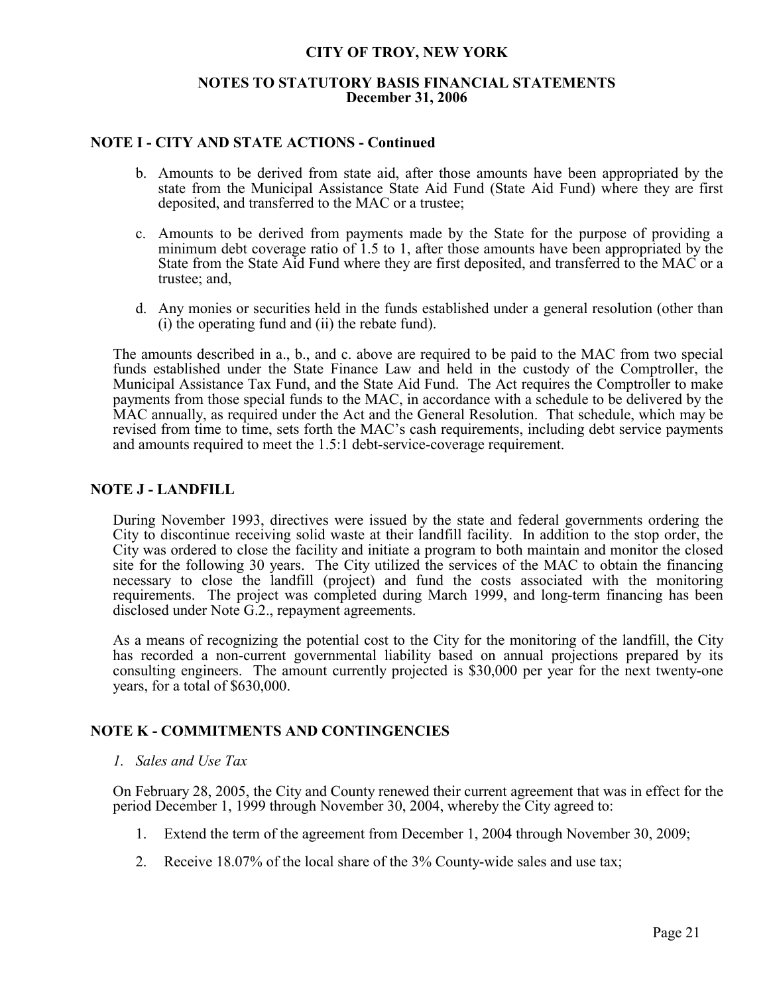## **NOTES TO STATUTORY BASIS FINANCIAL STATEMENTS December 31, 2006**

## **NOTE I - CITY AND STATE ACTIONS - Continued**

- b. Amounts to be derived from state aid, after those amounts have been appropriated by the state from the Municipal Assistance State Aid Fund (State Aid Fund) where they are first deposited, and transferred to the MAC or a trustee;
- c. Amounts to be derived from payments made by the State for the purpose of providing a minimum debt coverage ratio of 1.5 to 1, after those amounts have been appropriated by the State from the State Aid Fund where they are first deposited, and transferred to the MAC or a trustee; and,
- d. Any monies or securities held in the funds established under a general resolution (other than (i) the operating fund and (ii) the rebate fund).

The amounts described in a., b., and c. above are required to be paid to the MAC from two special funds established under the State Finance Law and held in the custody of the Comptroller, the Municipal Assistance Tax Fund, and the State Aid Fund. The Act requires the Comptroller to make payments from those special funds to the MAC, in accordance with a schedule to be delivered by the MAC annually, as required under the Act and the General Resolution. That schedule, which may be revised from time to time, sets forth the MAC's cash requirements, including debt service payments and amounts required to meet the 1.5:1 debt-service-coverage requirement.

## **NOTE J - LANDFILL**

During November 1993, directives were issued by the state and federal governments ordering the City to discontinue receiving solid waste at their landfill facility. In addition to the stop order, the City was ordered to close the facility and initiate a program to both maintain and monitor the closed site for the following 30 years. The City utilized the services of the MAC to obtain the financing necessary to close the landfill (project) and fund the costs associated with the monitoring requirements. The project was completed during March 1999, and long-term financing has been disclosed under Note G.2., repayment agreements.

As a means of recognizing the potential cost to the City for the monitoring of the landfill, the City has recorded a non-current governmental liability based on annual projections prepared by its consulting engineers. The amount currently projected is \$30,000 per year for the next twenty-one years, for a total of \$630,000.

## **NOTE K - COMMITMENTS AND CONTINGENCIES**

## *1. Sales and Use Tax*

On February 28, 2005, the City and County renewed their current agreement that was in effect for the period December 1, 1999 through November 30, 2004, whereby the City agreed to:

- 1. Extend the term of the agreement from December 1, 2004 through November 30, 2009;
- 2. Receive 18.07% of the local share of the 3% County-wide sales and use tax;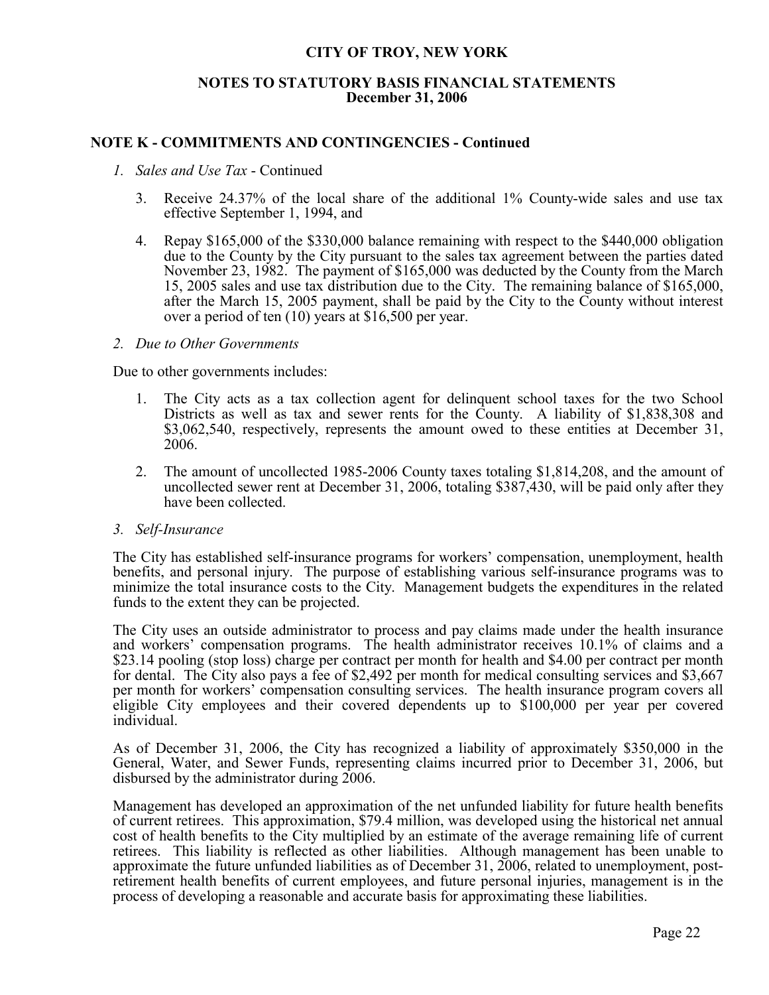## **NOTES TO STATUTORY BASIS FINANCIAL STATEMENTS December 31, 2006**

## **NOTE K - COMMITMENTS AND CONTINGENCIES - Continued**

## *1. Sales and Use Tax* - Continued

- 3. Receive 24.37% of the local share of the additional 1% County-wide sales and use tax effective September 1, 1994, and
- 4. Repay \$165,000 of the \$330,000 balance remaining with respect to the \$440,000 obligation due to the County by the City pursuant to the sales tax agreement between the parties dated November 23, 1982. The payment of \$165,000 was deducted by the County from the March 15, 2005 sales and use tax distribution due to the City. The remaining balance of \$165,000, after the March 15, 2005 payment, shall be paid by the City to the County without interest over a period of ten (10) years at \$16,500 per year.

### *2. Due to Other Governments*

Due to other governments includes:

- 1. The City acts as a tax collection agent for delinquent school taxes for the two School Districts as well as tax and sewer rents for the County. A liability of \$1,838,308 and \$3,062,540, respectively, represents the amount owed to these entities at December 31, 2006.
- 2. The amount of uncollected 1985-2006 County taxes totaling \$1,814,208, and the amount of uncollected sewer rent at December 31, 2006, totaling \$387,430, will be paid only after they have been collected.

## *3. Self-Insurance*

The City has established self-insurance programs for workers' compensation, unemployment, health benefits, and personal injury. The purpose of establishing various self-insurance programs was to minimize the total insurance costs to the City. Management budgets the expenditures in the related funds to the extent they can be projected.

The City uses an outside administrator to process and pay claims made under the health insurance and workers' compensation programs. The health administrator receives 10.1% of claims and a \$23.14 pooling (stop loss) charge per contract per month for health and \$4.00 per contract per month for dental. The City also pays a fee of \$2,492 per month for medical consulting services and \$3,667 per month for workers' compensation consulting services. The health insurance program covers all eligible City employees and their covered dependents up to \$100,000 per year per covered individual.

As of December 31, 2006, the City has recognized a liability of approximately \$350,000 in the General, Water, and Sewer Funds, representing claims incurred prior to December 31, 2006, but disbursed by the administrator during 2006.

Management has developed an approximation of the net unfunded liability for future health benefits of current retirees. This approximation, \$79.4 million, was developed using the historical net annual cost of health benefits to the City multiplied by an estimate of the average remaining life of current retirees. This liability is reflected as other liabilities. Although management has been unable to approximate the future unfunded liabilities as of December 31, 2006, related to unemployment, postretirement health benefits of current employees, and future personal injuries, management is in the process of developing a reasonable and accurate basis for approximating these liabilities.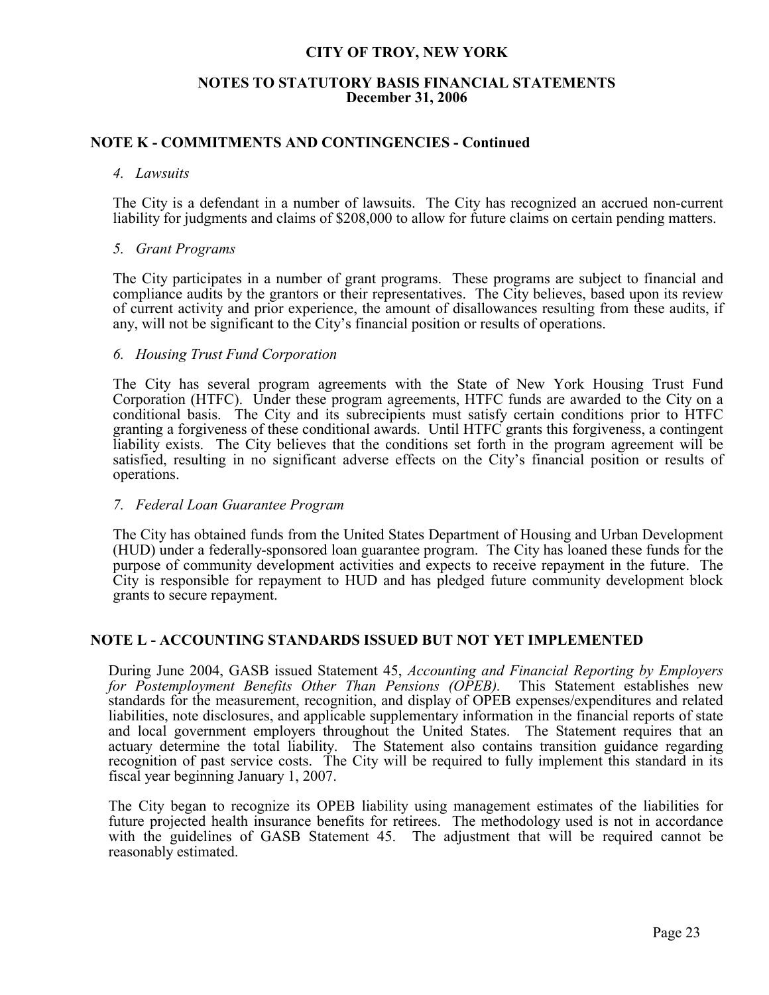## **NOTES TO STATUTORY BASIS FINANCIAL STATEMENTS December 31, 2006**

## **NOTE K - COMMITMENTS AND CONTINGENCIES - Continued**

### *4. Lawsuits*

The City is a defendant in a number of lawsuits. The City has recognized an accrued non-current liability for judgments and claims of \$208,000 to allow for future claims on certain pending matters.

## *5. Grant Programs*

The City participates in a number of grant programs. These programs are subject to financial and compliance audits by the grantors or their representatives. The City believes, based upon its review of current activity and prior experience, the amount of disallowances resulting from these audits, if any, will not be significant to the City's financial position or results of operations.

### *6. Housing Trust Fund Corporation*

The City has several program agreements with the State of New York Housing Trust Fund Corporation (HTFC). Under these program agreements, HTFC funds are awarded to the City on a conditional basis. The City and its subrecipients must satisfy certain conditions prior to HTFC granting a forgiveness of these conditional awards. Until HTFC grants this forgiveness, a contingent liability exists. The City believes that the conditions set forth in the program agreement will be satisfied, resulting in no significant adverse effects on the City's financial position or results of operations.

## *7. Federal Loan Guarantee Program*

The City has obtained funds from the United States Department of Housing and Urban Development (HUD) under a federally-sponsored loan guarantee program. The City has loaned these funds for the purpose of community development activities and expects to receive repayment in the future. The City is responsible for repayment to HUD and has pledged future community development block grants to secure repayment.

## **NOTE L - ACCOUNTING STANDARDS ISSUED BUT NOT YET IMPLEMENTED**

During June 2004, GASB issued Statement 45, *Accounting and Financial Reporting by Employers for Postemployment Benefits Other Than Pensions (OPEB).* This Statement establishes new standards for the measurement, recognition, and display of OPEB expenses/expenditures and related liabilities, note disclosures, and applicable supplementary information in the financial reports of state and local government employers throughout the United States. The Statement requires that an actuary determine the total liability. The Statement also contains transition guidance regarding recognition of past service costs. The City will be required to fully implement this standard in its fiscal year beginning January 1, 2007.

The City began to recognize its OPEB liability using management estimates of the liabilities for future projected health insurance benefits for retirees. The methodology used is not in accordance with the guidelines of GASB Statement 45. The adjustment that will be required cannot be reasonably estimated.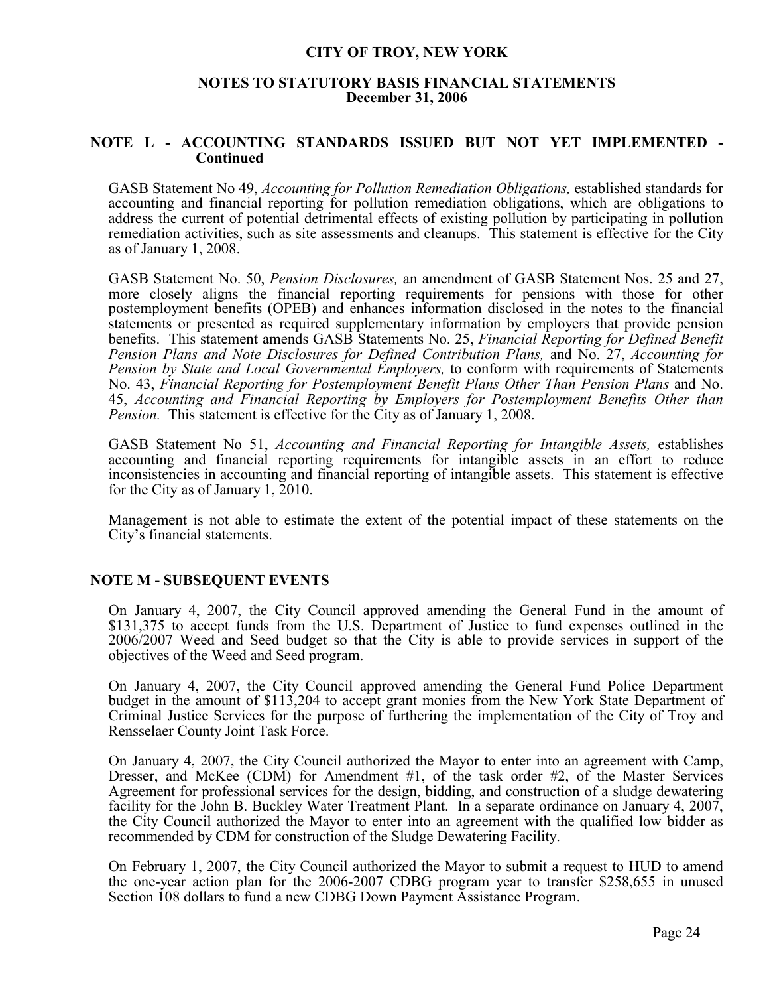## **NOTES TO STATUTORY BASIS FINANCIAL STATEMENTS December 31, 2006**

## **NOTE L - ACCOUNTING STANDARDS ISSUED BUT NOT YET IMPLEMENTED - Continued**

GASB Statement No 49, *Accounting for Pollution Remediation Obligations,* established standards for accounting and financial reporting for pollution remediation obligations, which are obligations to address the current of potential detrimental effects of existing pollution by participating in pollution remediation activities, such as site assessments and cleanups. This statement is effective for the City as of January 1, 2008.

GASB Statement No. 50, *Pension Disclosures,* an amendment of GASB Statement Nos. 25 and 27, more closely aligns the financial reporting requirements for pensions with those for other postemployment benefits (OPEB) and enhances information disclosed in the notes to the financial statements or presented as required supplementary information by employers that provide pension benefits. This statement amends GASB Statements No. 25, *Financial Reporting for Defined Benefit Pension Plans and Note Disclosures for Defined Contribution Plans,* and No. 27, *Accounting for Pension by State and Local Governmental Employers,* to conform with requirements of Statements No. 43, *Financial Reporting for Postemployment Benefit Plans Other Than Pension Plans* and No. 45, *Accounting and Financial Reporting by Employers for Postemployment Benefits Other than Pension.* This statement is effective for the City as of January 1, 2008.

GASB Statement No 51, *Accounting and Financial Reporting for Intangible Assets,* establishes accounting and financial reporting requirements for intangible assets in an effort to reduce inconsistencies in accounting and financial reporting of intangible assets. This statement is effective for the City as of January 1, 2010.

Management is not able to estimate the extent of the potential impact of these statements on the City's financial statements.

## **NOTE M - SUBSEQUENT EVENTS**

On January 4, 2007, the City Council approved amending the General Fund in the amount of \$131,375 to accept funds from the U.S. Department of Justice to fund expenses outlined in the 2006/2007 Weed and Seed budget so that the City is able to provide services in support of the objectives of the Weed and Seed program.

On January 4, 2007, the City Council approved amending the General Fund Police Department budget in the amount of \$113,204 to accept grant monies from the New York State Department of Criminal Justice Services for the purpose of furthering the implementation of the City of Troy and Rensselaer County Joint Task Force.

On January 4, 2007, the City Council authorized the Mayor to enter into an agreement with Camp, Dresser, and McKee (CDM) for Amendment #1, of the task order #2, of the Master Services Agreement for professional services for the design, bidding, and construction of a sludge dewatering facility for the John B. Buckley Water Treatment Plant. In a separate ordinance on January 4, 2007, the City Council authorized the Mayor to enter into an agreement with the qualified low bidder as recommended by CDM for construction of the Sludge Dewatering Facility.

On February 1, 2007, the City Council authorized the Mayor to submit a request to HUD to amend the one-year action plan for the 2006-2007 CDBG program year to transfer \$258,655 in unused Section 108 dollars to fund a new CDBG Down Payment Assistance Program.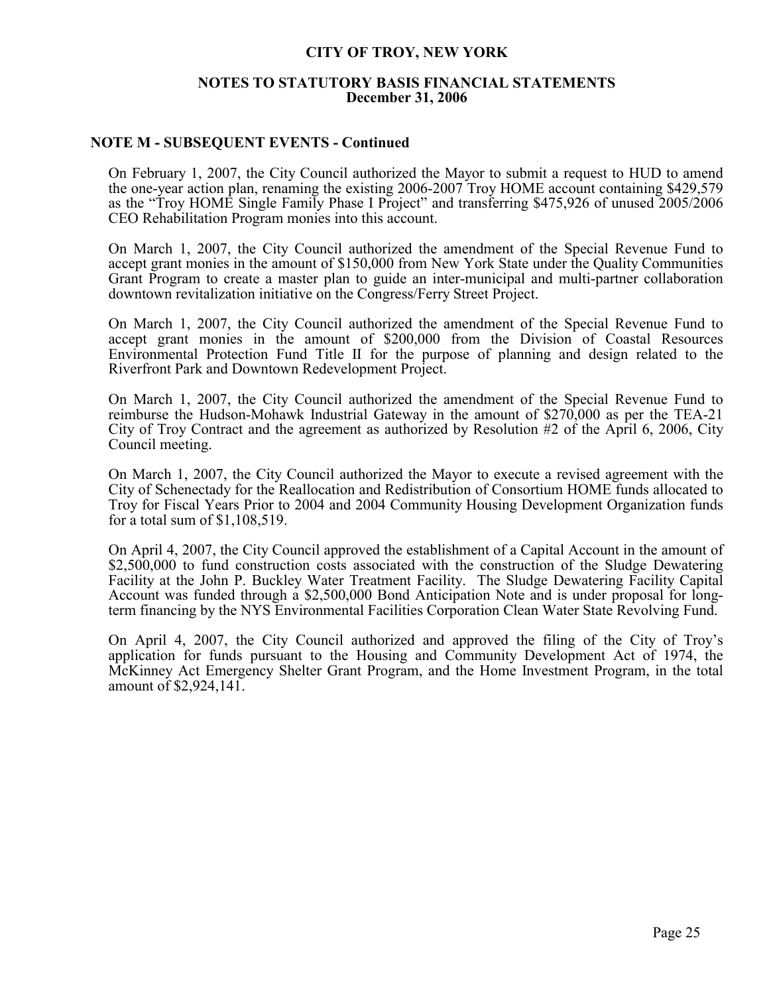## **NOTES TO STATUTORY BASIS FINANCIAL STATEMENTS December 31, 2006**

## **NOTE M - SUBSEQUENT EVENTS - Continued**

On February 1, 2007, the City Council authorized the Mayor to submit a request to HUD to amend the one-year action plan, renaming the existing 2006-2007 Troy HOME account containing \$429,579 as the "Troy HOME Single Family Phase I Project" and transferring \$475,926 of unused 2005/2006 CEO Rehabilitation Program monies into this account.

On March 1, 2007, the City Council authorized the amendment of the Special Revenue Fund to accept grant monies in the amount of \$150,000 from New York State under the Quality Communities Grant Program to create a master plan to guide an inter-municipal and multi-partner collaboration downtown revitalization initiative on the Congress/Ferry Street Project.

On March 1, 2007, the City Council authorized the amendment of the Special Revenue Fund to accept grant monies in the amount of \$200,000 from the Division of Coastal Resources Environmental Protection Fund Title II for the purpose of planning and design related to the Riverfront Park and Downtown Redevelopment Project.

On March 1, 2007, the City Council authorized the amendment of the Special Revenue Fund to reimburse the Hudson-Mohawk Industrial Gateway in the amount of \$270,000 as per the TEA-21 City of Troy Contract and the agreement as authorized by Resolution #2 of the April 6, 2006, City Council meeting.

On March 1, 2007, the City Council authorized the Mayor to execute a revised agreement with the City of Schenectady for the Reallocation and Redistribution of Consortium HOME funds allocated to Troy for Fiscal Years Prior to 2004 and 2004 Community Housing Development Organization funds for a total sum of \$1,108,519.

On April 4, 2007, the City Council approved the establishment of a Capital Account in the amount of \$2,500,000 to fund construction costs associated with the construction of the Sludge Dewatering Facility at the John P. Buckley Water Treatment Facility. The Sludge Dewatering Facility Capital Account was funded through a \$2,500,000 Bond Anticipation Note and is under proposal for longterm financing by the NYS Environmental Facilities Corporation Clean Water State Revolving Fund.

On April 4, 2007, the City Council authorized and approved the filing of the City of Troy's application for funds pursuant to the Housing and Community Development Act of 1974, the McKinney Act Emergency Shelter Grant Program, and the Home Investment Program, in the total amount of \$2,924,141.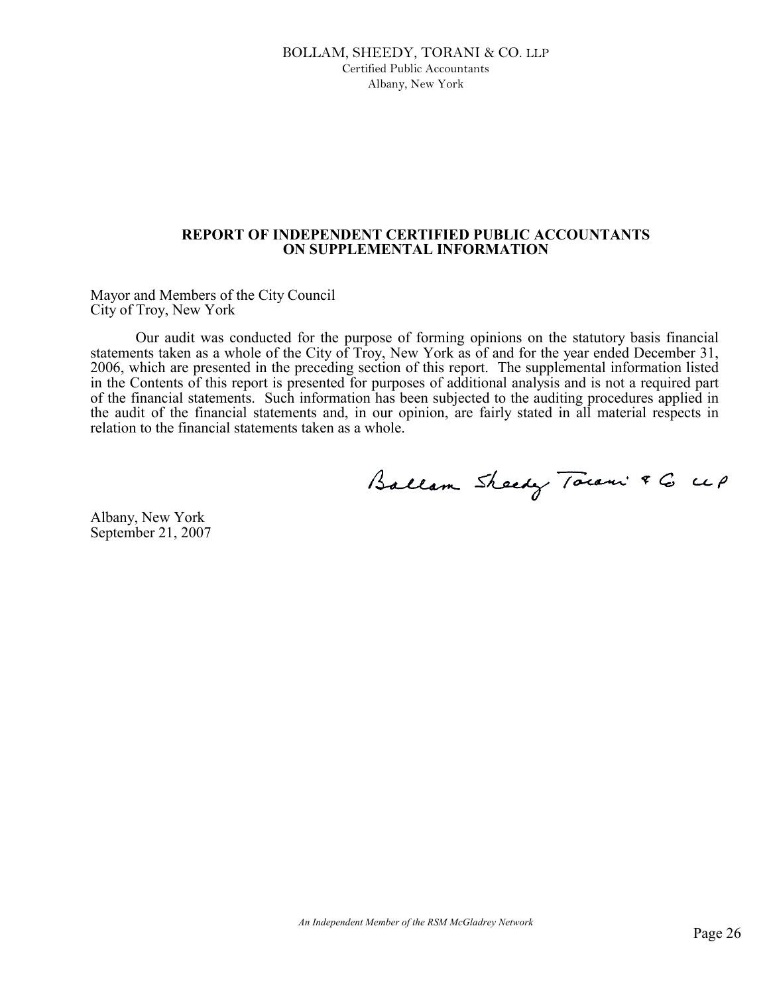## BOLLAM, SHEEDY, TORANI & CO. LLP Certified Public Accountants Albany, New York

## **REPORT OF INDEPENDENT CERTIFIED PUBLIC ACCOUNTANTS ON SUPPLEMENTAL INFORMATION**

Mayor and Members of the City Council City of Troy, New York

Our audit was conducted for the purpose of forming opinions on the statutory basis financial statements taken as a whole of the City of Troy, New York as of and for the year ended December 31, 2006, which are presented in the preceding section of this report. The supplemental information listed in the Contents of this report is presented for purposes of additional analysis and is not a required part of the financial statements. Such information has been subjected to the auditing procedures applied in the audit of the financial statements and, in our opinion, are fairly stated in all material respects in relation to the financial statements taken as a whole.

Ballam Sheedy Town & G up

Albany, New York September 21, 2007

*An Independent Member of the RSM McGladrey Network*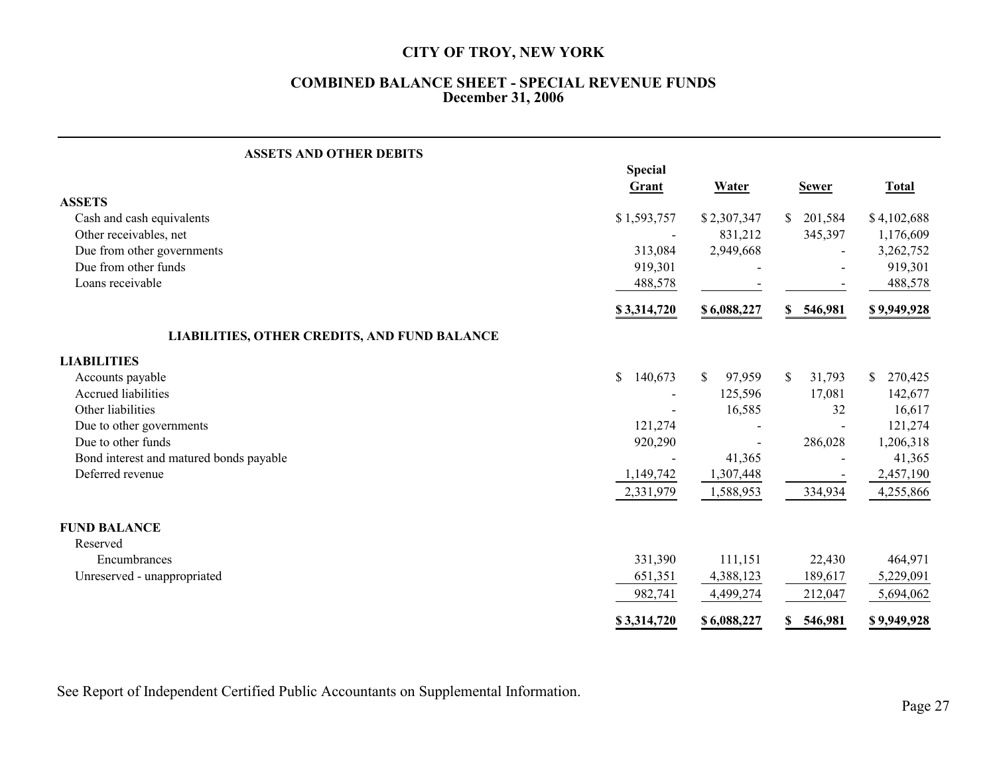## **COMBINED BALANCE SHEET - SPECIAL REVENUE FUNDS December 31, 2006**

| <b>ASSETS AND OTHER DEBITS</b>                      |                          |              |                        |               |  |
|-----------------------------------------------------|--------------------------|--------------|------------------------|---------------|--|
|                                                     | <b>Special</b><br>Grant  | Water        | <b>Sewer</b>           | <b>Total</b>  |  |
| <b>ASSETS</b>                                       |                          |              |                        |               |  |
| Cash and cash equivalents                           | \$1,593,757              | \$2,307,347  | 201,584<br>\$          | \$4,102,688   |  |
| Other receivables, net                              | $\overline{\phantom{a}}$ | 831,212      | 345,397                | 1,176,609     |  |
| Due from other governments                          | 313,084                  | 2,949,668    |                        | 3,262,752     |  |
| Due from other funds                                | 919,301                  |              |                        | 919,301       |  |
| Loans receivable                                    | 488,578                  |              |                        | 488,578       |  |
|                                                     | \$3,314,720              | \$6,088,227  | \$ 546,981             | \$9,949,928   |  |
| <b>LIABILITIES, OTHER CREDITS, AND FUND BALANCE</b> |                          |              |                        |               |  |
| <b>LIABILITIES</b>                                  |                          |              |                        |               |  |
| Accounts payable                                    | \$<br>140,673            | 97,959<br>S. | $\mathbb{S}$<br>31,793 | \$<br>270,425 |  |
| <b>Accrued liabilities</b>                          |                          | 125,596      | 17,081                 | 142,677       |  |
| Other liabilities                                   |                          | 16,585       | 32                     | 16,617        |  |
| Due to other governments                            | 121,274                  |              |                        | 121,274       |  |
| Due to other funds                                  | 920,290                  |              | 286,028                | 1,206,318     |  |
| Bond interest and matured bonds payable             |                          | 41,365       |                        | 41,365        |  |
| Deferred revenue                                    | 1,149,742                | 1,307,448    |                        | 2,457,190     |  |
|                                                     | 2,331,979                | 1,588,953    | 334,934                | 4,255,866     |  |
| <b>FUND BALANCE</b>                                 |                          |              |                        |               |  |
| Reserved                                            |                          |              |                        |               |  |
| Encumbrances                                        | 331,390                  | 111,151      | 22,430                 | 464,971       |  |
| Unreserved - unappropriated                         | 651,351                  | 4,388,123    | 189,617                | 5,229,091     |  |
|                                                     | 982,741                  | 4,499,274    | 212,047                | 5,694,062     |  |
|                                                     | \$3,314,720              | \$6,088,227  | 546,981<br>S.          | \$9,949,928   |  |

See Report of Independent Certified Public Accountants on Supplemental Information.